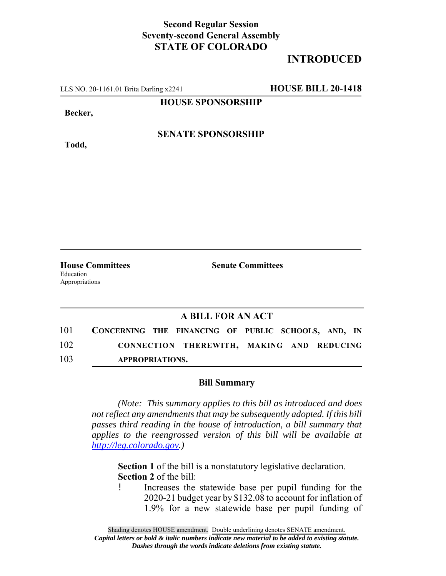## **Second Regular Session Seventy-second General Assembly STATE OF COLORADO**

## **INTRODUCED**

LLS NO. 20-1161.01 Brita Darling x2241 **HOUSE BILL 20-1418**

**HOUSE SPONSORSHIP**

**Becker,**

**Todd,**

#### **SENATE SPONSORSHIP**

**House Committees Senate Committees** Education Appropriations

### **A BILL FOR AN ACT**

| 101 | CONCERNING THE FINANCING OF PUBLIC SCHOOLS, AND, IN |                                           |  |  |  |
|-----|-----------------------------------------------------|-------------------------------------------|--|--|--|
| 102 |                                                     | CONNECTION THEREWITH, MAKING AND REDUCING |  |  |  |
| 103 | <b>APPROPRIATIONS.</b>                              |                                           |  |  |  |

#### **Bill Summary**

*(Note: This summary applies to this bill as introduced and does not reflect any amendments that may be subsequently adopted. If this bill passes third reading in the house of introduction, a bill summary that applies to the reengrossed version of this bill will be available at http://leg.colorado.gov.)*

**Section 1** of the bill is a nonstatutory legislative declaration. **Section 2** of the bill:

! Increases the statewide base per pupil funding for the 2020-21 budget year by \$132.08 to account for inflation of 1.9% for a new statewide base per pupil funding of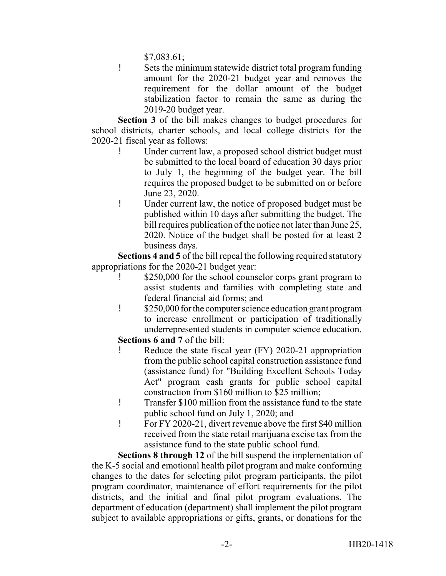\$7,083.61;

! Sets the minimum statewide district total program funding amount for the 2020-21 budget year and removes the requirement for the dollar amount of the budget stabilization factor to remain the same as during the 2019-20 budget year.

**Section 3** of the bill makes changes to budget procedures for school districts, charter schools, and local college districts for the 2020-21 fiscal year as follows:

- ! Under current law, a proposed school district budget must be submitted to the local board of education 30 days prior to July 1, the beginning of the budget year. The bill requires the proposed budget to be submitted on or before June 23, 2020.
- ! Under current law, the notice of proposed budget must be published within 10 days after submitting the budget. The bill requires publication of the notice not later than June 25, 2020. Notice of the budget shall be posted for at least 2 business days.

**Sections 4 and 5** of the bill repeal the following required statutory appropriations for the 2020-21 budget year:

- ! \$250,000 for the school counselor corps grant program to assist students and families with completing state and federal financial aid forms; and
- ! \$250,000 for the computer science education grant program to increase enrollment or participation of traditionally underrepresented students in computer science education.

**Sections 6 and 7** of the bill:

- Reduce the state fiscal year (FY) 2020-21 appropriation from the public school capital construction assistance fund (assistance fund) for "Building Excellent Schools Today Act" program cash grants for public school capital construction from \$160 million to \$25 million;
- ! Transfer \$100 million from the assistance fund to the state public school fund on July 1, 2020; and
- ! For FY 2020-21, divert revenue above the first \$40 million received from the state retail marijuana excise tax from the assistance fund to the state public school fund.

**Sections 8 through 12** of the bill suspend the implementation of the K-5 social and emotional health pilot program and make conforming changes to the dates for selecting pilot program participants, the pilot program coordinator, maintenance of effort requirements for the pilot districts, and the initial and final pilot program evaluations. The department of education (department) shall implement the pilot program subject to available appropriations or gifts, grants, or donations for the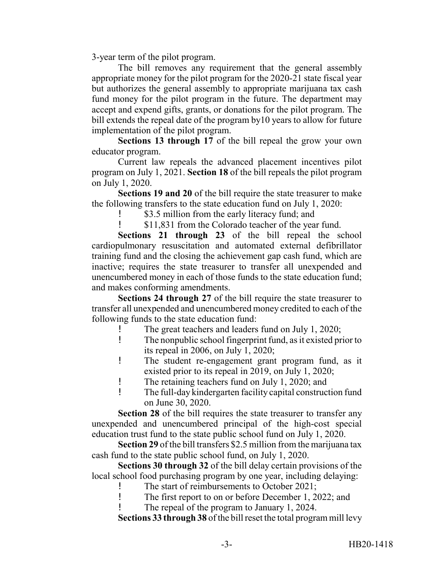3-year term of the pilot program.

The bill removes any requirement that the general assembly appropriate money for the pilot program for the 2020-21 state fiscal year but authorizes the general assembly to appropriate marijuana tax cash fund money for the pilot program in the future. The department may accept and expend gifts, grants, or donations for the pilot program. The bill extends the repeal date of the program by10 years to allow for future implementation of the pilot program.

**Sections 13 through 17** of the bill repeal the grow your own educator program.

Current law repeals the advanced placement incentives pilot program on July 1, 2021. **Section 18** of the bill repeals the pilot program on July 1, 2020.

**Sections 19 and 20** of the bill require the state treasurer to make the following transfers to the state education fund on July 1, 2020:

! \$3.5 million from the early literacy fund; and

! \$11,831 from the Colorado teacher of the year fund.

**Sections 21 through 23** of the bill repeal the school cardiopulmonary resuscitation and automated external defibrillator training fund and the closing the achievement gap cash fund, which are inactive; requires the state treasurer to transfer all unexpended and unencumbered money in each of those funds to the state education fund; and makes conforming amendments.

**Sections 24 through 27** of the bill require the state treasurer to transfer all unexpended and unencumbered money credited to each of the following funds to the state education fund:

- ! The great teachers and leaders fund on July 1, 2020;
- ! The nonpublic school fingerprint fund, as it existed prior to its repeal in 2006, on July 1, 2020;
- ! The student re-engagement grant program fund, as it existed prior to its repeal in 2019, on July 1, 2020;
- ! The retaining teachers fund on July 1, 2020; and
- ! The full-day kindergarten facility capital construction fund on June 30, 2020.

**Section 28** of the bill requires the state treasurer to transfer any unexpended and unencumbered principal of the high-cost special education trust fund to the state public school fund on July 1, 2020.

**Section 29** of the bill transfers \$2.5 million from the marijuana tax cash fund to the state public school fund, on July 1, 2020.

**Sections 30 through 32** of the bill delay certain provisions of the local school food purchasing program by one year, including delaying:

The start of reimbursements to October 2021;

- ! The first report to on or before December 1, 2022; and
- The repeal of the program to January 1, 2024.

**Sections 33 through 38** of the bill reset the total program mill levy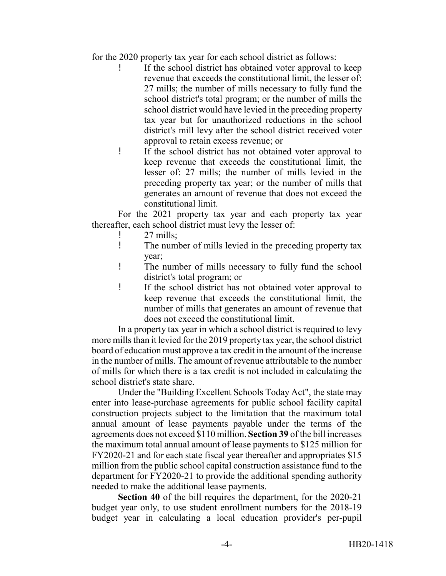for the 2020 property tax year for each school district as follows:

- ! If the school district has obtained voter approval to keep revenue that exceeds the constitutional limit, the lesser of: 27 mills; the number of mills necessary to fully fund the school district's total program; or the number of mills the school district would have levied in the preceding property tax year but for unauthorized reductions in the school district's mill levy after the school district received voter approval to retain excess revenue; or
- ! If the school district has not obtained voter approval to keep revenue that exceeds the constitutional limit, the lesser of: 27 mills; the number of mills levied in the preceding property tax year; or the number of mills that generates an amount of revenue that does not exceed the constitutional limit.

For the 2021 property tax year and each property tax year thereafter, each school district must levy the lesser of:

- 27 mills;
- ! The number of mills levied in the preceding property tax year;
- ! The number of mills necessary to fully fund the school district's total program; or
- ! If the school district has not obtained voter approval to keep revenue that exceeds the constitutional limit, the number of mills that generates an amount of revenue that does not exceed the constitutional limit.

In a property tax year in which a school district is required to levy more mills than it levied for the 2019 property tax year, the school district board of education must approve a tax credit in the amount of the increase in the number of mills. The amount of revenue attributable to the number of mills for which there is a tax credit is not included in calculating the school district's state share.

Under the "Building Excellent Schools Today Act", the state may enter into lease-purchase agreements for public school facility capital construction projects subject to the limitation that the maximum total annual amount of lease payments payable under the terms of the agreements does not exceed \$110 million. **Section 39** of the bill increases the maximum total annual amount of lease payments to \$125 million for FY2020-21 and for each state fiscal year thereafter and appropriates \$15 million from the public school capital construction assistance fund to the department for FY2020-21 to provide the additional spending authority needed to make the additional lease payments.

**Section 40** of the bill requires the department, for the 2020-21 budget year only, to use student enrollment numbers for the 2018-19 budget year in calculating a local education provider's per-pupil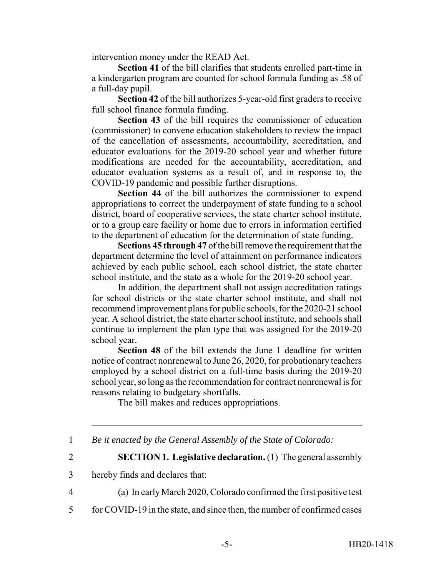intervention money under the READ Act.

**Section 41** of the bill clarifies that students enrolled part-time in a kindergarten program are counted for school formula funding as .58 of a full-day pupil.

**Section 42** of the bill authorizes 5-year-old first graders to receive full school finance formula funding.

**Section 43** of the bill requires the commissioner of education (commissioner) to convene education stakeholders to review the impact of the cancellation of assessments, accountability, accreditation, and educator evaluations for the 2019-20 school year and whether future modifications are needed for the accountability, accreditation, and educator evaluation systems as a result of, and in response to, the COVID-19 pandemic and possible further disruptions.

**Section 44** of the bill authorizes the commissioner to expend appropriations to correct the underpayment of state funding to a school district, board of cooperative services, the state charter school institute, or to a group care facility or home due to errors in information certified to the department of education for the determination of state funding.

**Sections 45 through 47** of the bill remove the requirement that the department determine the level of attainment on performance indicators achieved by each public school, each school district, the state charter school institute, and the state as a whole for the 2019-20 school year.

In addition, the department shall not assign accreditation ratings for school districts or the state charter school institute, and shall not recommend improvement plans for public schools, for the 2020-21 school year. A school district, the state charter school institute, and schools shall continue to implement the plan type that was assigned for the 2019-20 school year.

**Section 48** of the bill extends the June 1 deadline for written notice of contract nonrenewal to June 26, 2020, for probationary teachers employed by a school district on a full-time basis during the 2019-20 school year, so long as the recommendation for contract nonrenewal is for reasons relating to budgetary shortfalls.

The bill makes and reduces appropriations.

1 *Be it enacted by the General Assembly of the State of Colorado:*

2 **SECTION 1. Legislative declaration.** (1) The general assembly

4 (a) In early March 2020, Colorado confirmed the first positive test

5 for COVID-19 in the state, and since then, the number of confirmed cases

<sup>3</sup> hereby finds and declares that: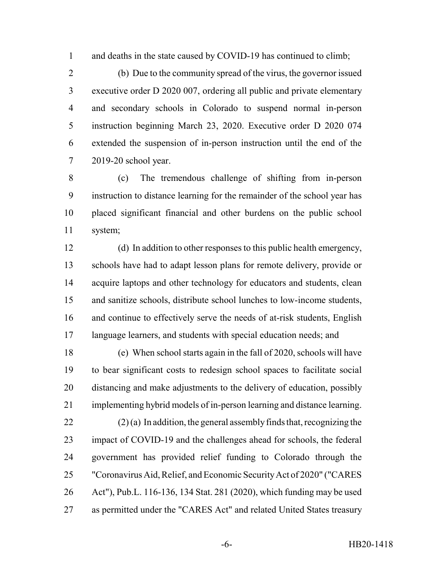1 and deaths in the state caused by COVID-19 has continued to climb;

 (b) Due to the community spread of the virus, the governor issued executive order D 2020 007, ordering all public and private elementary and secondary schools in Colorado to suspend normal in-person instruction beginning March 23, 2020. Executive order D 2020 074 extended the suspension of in-person instruction until the end of the 2019-20 school year.

 (c) The tremendous challenge of shifting from in-person instruction to distance learning for the remainder of the school year has placed significant financial and other burdens on the public school system;

 (d) In addition to other responses to this public health emergency, schools have had to adapt lesson plans for remote delivery, provide or 14 acquire laptops and other technology for educators and students, clean and sanitize schools, distribute school lunches to low-income students, and continue to effectively serve the needs of at-risk students, English language learners, and students with special education needs; and

 (e) When school starts again in the fall of 2020, schools will have to bear significant costs to redesign school spaces to facilitate social distancing and make adjustments to the delivery of education, possibly implementing hybrid models of in-person learning and distance learning.

 (2) (a) In addition, the general assembly finds that, recognizing the impact of COVID-19 and the challenges ahead for schools, the federal government has provided relief funding to Colorado through the "Coronavirus Aid, Relief, and Economic Security Act of 2020" ("CARES Act"), Pub.L. 116-136, 134 Stat. 281 (2020), which funding may be used as permitted under the "CARES Act" and related United States treasury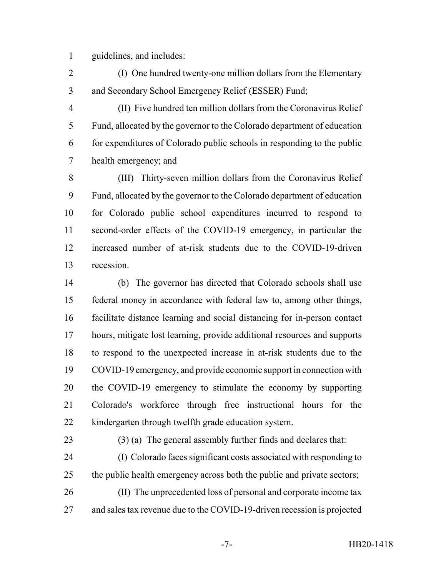guidelines, and includes:

 (I) One hundred twenty-one million dollars from the Elementary and Secondary School Emergency Relief (ESSER) Fund;

 (II) Five hundred ten million dollars from the Coronavirus Relief Fund, allocated by the governor to the Colorado department of education for expenditures of Colorado public schools in responding to the public health emergency; and

 (III) Thirty-seven million dollars from the Coronavirus Relief Fund, allocated by the governor to the Colorado department of education for Colorado public school expenditures incurred to respond to second-order effects of the COVID-19 emergency, in particular the increased number of at-risk students due to the COVID-19-driven recession.

 (b) The governor has directed that Colorado schools shall use federal money in accordance with federal law to, among other things, facilitate distance learning and social distancing for in-person contact hours, mitigate lost learning, provide additional resources and supports to respond to the unexpected increase in at-risk students due to the COVID-19 emergency, and provide economic support in connection with the COVID-19 emergency to stimulate the economy by supporting Colorado's workforce through free instructional hours for the kindergarten through twelfth grade education system.

(3) (a) The general assembly further finds and declares that:

 (I) Colorado faces significant costs associated with responding to 25 the public health emergency across both the public and private sectors;

 (II) The unprecedented loss of personal and corporate income tax and sales tax revenue due to the COVID-19-driven recession is projected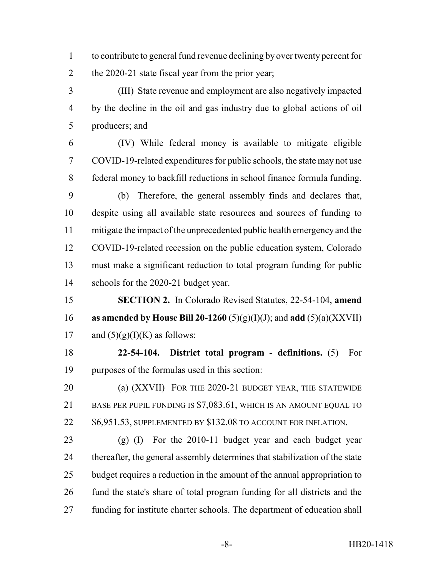to contribute to general fund revenue declining by over twenty percent for 2 the 2020-21 state fiscal year from the prior year;

 (III) State revenue and employment are also negatively impacted by the decline in the oil and gas industry due to global actions of oil producers; and

 (IV) While federal money is available to mitigate eligible COVID-19-related expenditures for public schools, the state may not use federal money to backfill reductions in school finance formula funding.

 (b) Therefore, the general assembly finds and declares that, despite using all available state resources and sources of funding to mitigate the impact of the unprecedented public health emergency and the COVID-19-related recession on the public education system, Colorado must make a significant reduction to total program funding for public schools for the 2020-21 budget year.

 **SECTION 2.** In Colorado Revised Statutes, 22-54-104, **amend as amended by House Bill 20-1260** (5)(g)(I)(J); and **add** (5)(a)(XXVII) 17 and  $(5)(g)(I)(K)$  as follows:

 **22-54-104. District total program - definitions.** (5) For purposes of the formulas used in this section:

 (a) (XXVII) FOR THE 2020-21 BUDGET YEAR, THE STATEWIDE BASE PER PUPIL FUNDING IS \$7,083.61, WHICH IS AN AMOUNT EQUAL TO 22 \$6,951.53, SUPPLEMENTED BY \$132.08 TO ACCOUNT FOR INFLATION.

 (g) (I) For the 2010-11 budget year and each budget year thereafter, the general assembly determines that stabilization of the state budget requires a reduction in the amount of the annual appropriation to fund the state's share of total program funding for all districts and the funding for institute charter schools. The department of education shall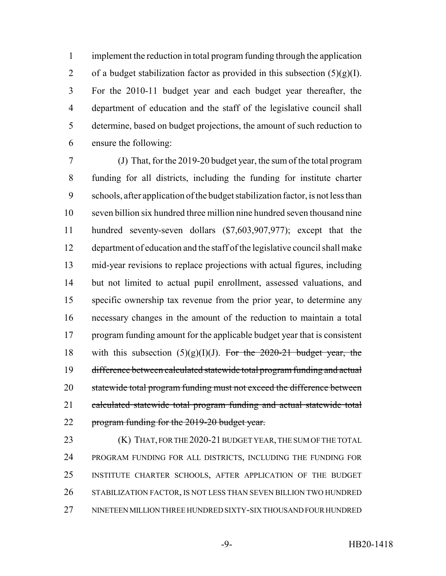implement the reduction in total program funding through the application 2 of a budget stabilization factor as provided in this subsection  $(5)(g)(I)$ . For the 2010-11 budget year and each budget year thereafter, the department of education and the staff of the legislative council shall determine, based on budget projections, the amount of such reduction to ensure the following:

 (J) That, for the 2019-20 budget year, the sum of the total program funding for all districts, including the funding for institute charter schools, after application of the budget stabilization factor, is not less than seven billion six hundred three million nine hundred seven thousand nine hundred seventy-seven dollars (\$7,603,907,977); except that the department of education and the staff of the legislative council shall make mid-year revisions to replace projections with actual figures, including but not limited to actual pupil enrollment, assessed valuations, and specific ownership tax revenue from the prior year, to determine any necessary changes in the amount of the reduction to maintain a total program funding amount for the applicable budget year that is consistent 18 with this subsection  $(5)(g)(I)(J)$ . For the 2020-21 budget year, the difference between calculated statewide total program funding and actual 20 statewide total program funding must not exceed the difference between calculated statewide total program funding and actual statewide total program funding for the 2019-20 budget year.

**(K)** THAT, FOR THE 2020-21 BUDGET YEAR, THE SUM OF THE TOTAL PROGRAM FUNDING FOR ALL DISTRICTS, INCLUDING THE FUNDING FOR INSTITUTE CHARTER SCHOOLS, AFTER APPLICATION OF THE BUDGET STABILIZATION FACTOR, IS NOT LESS THAN SEVEN BILLION TWO HUNDRED NINETEEN MILLION THREE HUNDRED SIXTY-SIX THOUSAND FOUR HUNDRED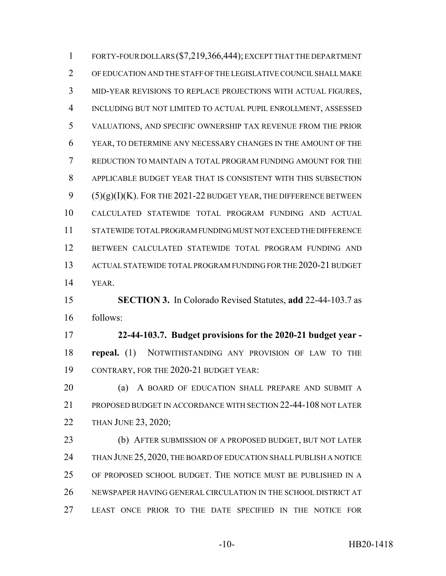FORTY-FOUR DOLLARS (\$7,219,366,444); EXCEPT THAT THE DEPARTMENT OF EDUCATION AND THE STAFF OF THE LEGISLATIVE COUNCIL SHALL MAKE MID-YEAR REVISIONS TO REPLACE PROJECTIONS WITH ACTUAL FIGURES, INCLUDING BUT NOT LIMITED TO ACTUAL PUPIL ENROLLMENT, ASSESSED VALUATIONS, AND SPECIFIC OWNERSHIP TAX REVENUE FROM THE PRIOR YEAR, TO DETERMINE ANY NECESSARY CHANGES IN THE AMOUNT OF THE REDUCTION TO MAINTAIN A TOTAL PROGRAM FUNDING AMOUNT FOR THE APPLICABLE BUDGET YEAR THAT IS CONSISTENT WITH THIS SUBSECTION  $(5)(g)(I)(K)$ . FOR THE 2021-22 BUDGET YEAR, THE DIFFERENCE BETWEEN CALCULATED STATEWIDE TOTAL PROGRAM FUNDING AND ACTUAL STATEWIDE TOTAL PROGRAM FUNDING MUST NOT EXCEED THE DIFFERENCE BETWEEN CALCULATED STATEWIDE TOTAL PROGRAM FUNDING AND ACTUAL STATEWIDE TOTAL PROGRAM FUNDING FOR THE 2020-21 BUDGET YEAR. **SECTION 3.** In Colorado Revised Statutes, **add** 22-44-103.7 as follows:

 **22-44-103.7. Budget provisions for the 2020-21 budget year - repeal.** (1) NOTWITHSTANDING ANY PROVISION OF LAW TO THE CONTRARY, FOR THE 2020-21 BUDGET YEAR:

**(a)** A BOARD OF EDUCATION SHALL PREPARE AND SUBMIT A PROPOSED BUDGET IN ACCORDANCE WITH SECTION 22-44-108 NOT LATER THAN JUNE 23, 2020;

 (b) AFTER SUBMISSION OF A PROPOSED BUDGET, BUT NOT LATER 24 THAN JUNE 25, 2020, THE BOARD OF EDUCATION SHALL PUBLISH A NOTICE OF PROPOSED SCHOOL BUDGET. THE NOTICE MUST BE PUBLISHED IN A NEWSPAPER HAVING GENERAL CIRCULATION IN THE SCHOOL DISTRICT AT LEAST ONCE PRIOR TO THE DATE SPECIFIED IN THE NOTICE FOR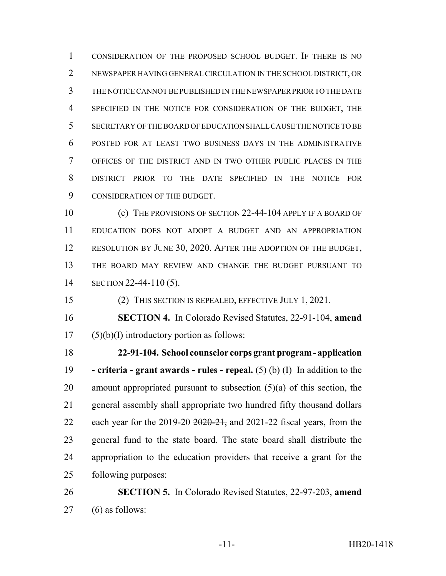CONSIDERATION OF THE PROPOSED SCHOOL BUDGET. IF THERE IS NO NEWSPAPER HAVING GENERAL CIRCULATION IN THE SCHOOL DISTRICT, OR THE NOTICE CANNOT BE PUBLISHED IN THE NEWSPAPER PRIOR TO THE DATE SPECIFIED IN THE NOTICE FOR CONSIDERATION OF THE BUDGET, THE SECRETARY OF THE BOARD OF EDUCATION SHALL CAUSE THE NOTICE TO BE POSTED FOR AT LEAST TWO BUSINESS DAYS IN THE ADMINISTRATIVE OFFICES OF THE DISTRICT AND IN TWO OTHER PUBLIC PLACES IN THE DISTRICT PRIOR TO THE DATE SPECIFIED IN THE NOTICE FOR CONSIDERATION OF THE BUDGET.

10 (c) THE PROVISIONS OF SECTION 22-44-104 APPLY IF A BOARD OF EDUCATION DOES NOT ADOPT A BUDGET AND AN APPROPRIATION RESOLUTION BY JUNE 30, 2020. AFTER THE ADOPTION OF THE BUDGET, THE BOARD MAY REVIEW AND CHANGE THE BUDGET PURSUANT TO SECTION 22-44-110 (5).

(2) THIS SECTION IS REPEALED, EFFECTIVE JULY 1, 2021.

 **SECTION 4.** In Colorado Revised Statutes, 22-91-104, **amend** (5)(b)(I) introductory portion as follows:

 **22-91-104. School counselor corps grant program - application - criteria - grant awards - rules - repeal.** (5) (b) (I) In addition to the 20 amount appropriated pursuant to subsection  $(5)(a)$  of this section, the general assembly shall appropriate two hundred fifty thousand dollars 22 each year for the 2019-20  $\frac{2020-21}{200}$ , and 2021-22 fiscal years, from the general fund to the state board. The state board shall distribute the appropriation to the education providers that receive a grant for the following purposes:

 **SECTION 5.** In Colorado Revised Statutes, 22-97-203, **amend** (6) as follows: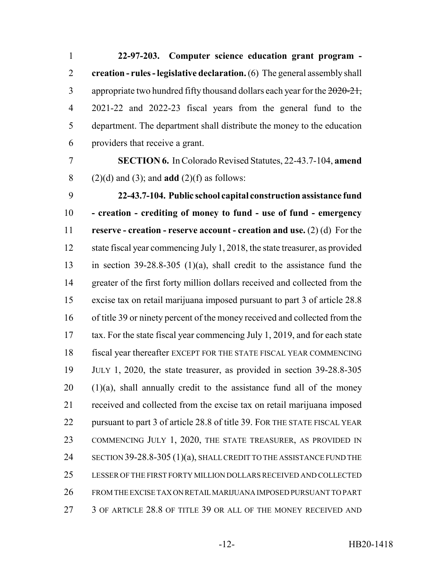**22-97-203. Computer science education grant program - creation - rules - legislative declaration.** (6) The general assembly shall 3 appropriate two hundred fifty thousand dollars each year for the  $2020-21$ , 2021-22 and 2022-23 fiscal years from the general fund to the department. The department shall distribute the money to the education providers that receive a grant.

 **SECTION 6.** In Colorado Revised Statutes, 22-43.7-104, **amend** (2)(d) and (3); and **add** (2)(f) as follows:

 **22-43.7-104. Public school capital construction assistance fund - creation - crediting of money to fund - use of fund - emergency reserve - creation - reserve account - creation and use.** (2) (d) For the state fiscal year commencing July 1, 2018, the state treasurer, as provided in section 39-28.8-305 (1)(a), shall credit to the assistance fund the greater of the first forty million dollars received and collected from the excise tax on retail marijuana imposed pursuant to part 3 of article 28.8 of title 39 or ninety percent of the money received and collected from the tax. For the state fiscal year commencing July 1, 2019, and for each state fiscal year thereafter EXCEPT FOR THE STATE FISCAL YEAR COMMENCING JULY 1, 2020, the state treasurer, as provided in section 39-28.8-305 (1)(a), shall annually credit to the assistance fund all of the money received and collected from the excise tax on retail marijuana imposed pursuant to part 3 of article 28.8 of title 39. FOR THE STATE FISCAL YEAR COMMENCING JULY 1, 2020, THE STATE TREASURER, AS PROVIDED IN 24 SECTION 39-28.8-305 (1)(a), SHALL CREDIT TO THE ASSISTANCE FUND THE LESSER OF THE FIRST FORTY MILLION DOLLARS RECEIVED AND COLLECTED FROM THE EXCISE TAX ON RETAIL MARIJUANA IMPOSED PURSUANT TO PART 3 OF ARTICLE 28.8 OF TITLE 39 OR ALL OF THE MONEY RECEIVED AND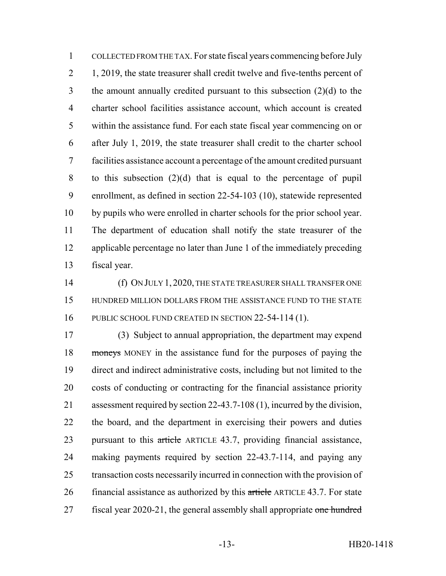COLLECTED FROM THE TAX. For state fiscal years commencing before July 2 1, 2019, the state treasurer shall credit twelve and five-tenths percent of the amount annually credited pursuant to this subsection (2)(d) to the charter school facilities assistance account, which account is created within the assistance fund. For each state fiscal year commencing on or after July 1, 2019, the state treasurer shall credit to the charter school facilities assistance account a percentage of the amount credited pursuant to this subsection (2)(d) that is equal to the percentage of pupil enrollment, as defined in section 22-54-103 (10), statewide represented by pupils who were enrolled in charter schools for the prior school year. The department of education shall notify the state treasurer of the applicable percentage no later than June 1 of the immediately preceding fiscal year.

 (f) ON JULY 1, 2020, THE STATE TREASURER SHALL TRANSFER ONE HUNDRED MILLION DOLLARS FROM THE ASSISTANCE FUND TO THE STATE PUBLIC SCHOOL FUND CREATED IN SECTION 22-54-114 (1).

 (3) Subject to annual appropriation, the department may expend moneys MONEY in the assistance fund for the purposes of paying the direct and indirect administrative costs, including but not limited to the costs of conducting or contracting for the financial assistance priority assessment required by section 22-43.7-108 (1), incurred by the division, the board, and the department in exercising their powers and duties 23 pursuant to this article ARTICLE 43.7, providing financial assistance, making payments required by section 22-43.7-114, and paying any transaction costs necessarily incurred in connection with the provision of 26 financial assistance as authorized by this article ARTICLE 43.7. For state 27 fiscal year 2020-21, the general assembly shall appropriate one hundred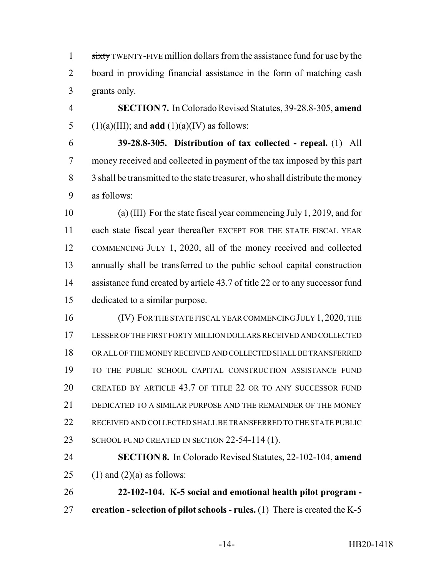1 sixty TWENTY-FIVE million dollars from the assistance fund for use by the board in providing financial assistance in the form of matching cash grants only.

 **SECTION 7.** In Colorado Revised Statutes, 39-28.8-305, **amend** 5 (1)(a)(III); and **add** (1)(a)(IV) as follows:

 **39-28.8-305. Distribution of tax collected - repeal.** (1) All money received and collected in payment of the tax imposed by this part 8 3 shall be transmitted to the state treasurer, who shall distribute the money as follows:

 (a) (III) For the state fiscal year commencing July 1, 2019, and for each state fiscal year thereafter EXCEPT FOR THE STATE FISCAL YEAR COMMENCING JULY 1, 2020, all of the money received and collected annually shall be transferred to the public school capital construction 14 assistance fund created by article 43.7 of title 22 or to any successor fund dedicated to a similar purpose.

16 (IV) FOR THE STATE FISCAL YEAR COMMENCING JULY 1, 2020, THE LESSER OF THE FIRST FORTY MILLION DOLLARS RECEIVED AND COLLECTED OR ALL OF THE MONEY RECEIVED AND COLLECTED SHALL BE TRANSFERRED TO THE PUBLIC SCHOOL CAPITAL CONSTRUCTION ASSISTANCE FUND CREATED BY ARTICLE 43.7 OF TITLE 22 OR TO ANY SUCCESSOR FUND DEDICATED TO A SIMILAR PURPOSE AND THE REMAINDER OF THE MONEY RECEIVED AND COLLECTED SHALL BE TRANSFERRED TO THE STATE PUBLIC 23 SCHOOL FUND CREATED IN SECTION 22-54-114 (1).

 **SECTION 8.** In Colorado Revised Statutes, 22-102-104, **amend** 25 (1) and (2)(a) as follows:

 **22-102-104. K-5 social and emotional health pilot program - creation - selection of pilot schools - rules.** (1) There is created the K-5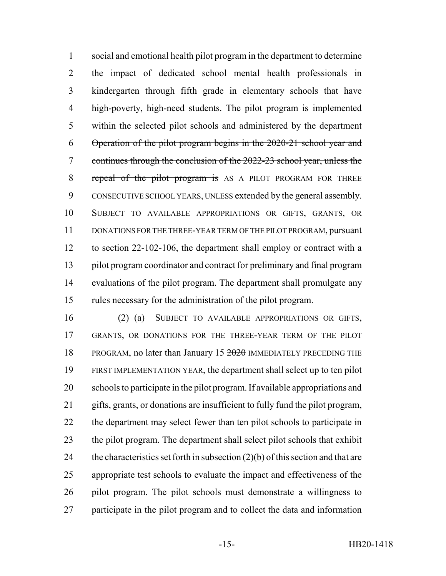social and emotional health pilot program in the department to determine the impact of dedicated school mental health professionals in kindergarten through fifth grade in elementary schools that have high-poverty, high-need students. The pilot program is implemented within the selected pilot schools and administered by the department Operation of the pilot program begins in the 2020-21 school year and continues through the conclusion of the 2022-23 school year, unless the 8 repeal of the pilot program is AS A PILOT PROGRAM FOR THREE CONSECUTIVE SCHOOL YEARS, UNLESS extended by the general assembly. SUBJECT TO AVAILABLE APPROPRIATIONS OR GIFTS, GRANTS, OR DONATIONS FOR THE THREE-YEAR TERM OF THE PILOT PROGRAM, pursuant to section 22-102-106, the department shall employ or contract with a pilot program coordinator and contract for preliminary and final program evaluations of the pilot program. The department shall promulgate any rules necessary for the administration of the pilot program.

 (2) (a) SUBJECT TO AVAILABLE APPROPRIATIONS OR GIFTS, GRANTS, OR DONATIONS FOR THE THREE-YEAR TERM OF THE PILOT 18 PROGRAM, no later than January 15 2020 IMMEDIATELY PRECEDING THE FIRST IMPLEMENTATION YEAR, the department shall select up to ten pilot schools to participate in the pilot program. If available appropriations and gifts, grants, or donations are insufficient to fully fund the pilot program, the department may select fewer than ten pilot schools to participate in the pilot program. The department shall select pilot schools that exhibit 24 the characteristics set forth in subsection  $(2)(b)$  of this section and that are appropriate test schools to evaluate the impact and effectiveness of the pilot program. The pilot schools must demonstrate a willingness to participate in the pilot program and to collect the data and information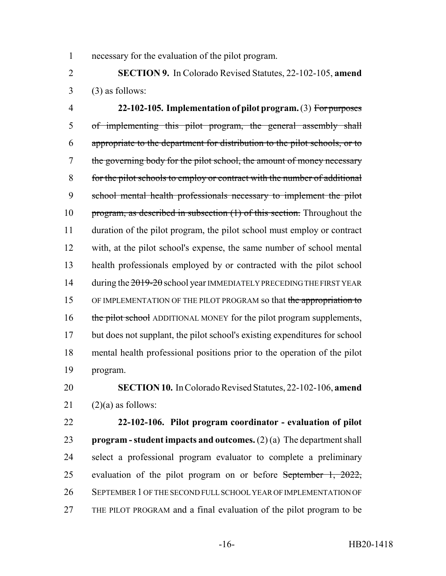necessary for the evaluation of the pilot program.

 **SECTION 9.** In Colorado Revised Statutes, 22-102-105, **amend**  $3 \qquad (3)$  as follows:

 **22-102-105. Implementation of pilot program.** (3) For purposes of implementing this pilot program, the general assembly shall appropriate to the department for distribution to the pilot schools, or to the governing body for the pilot school, the amount of money necessary for the pilot schools to employ or contract with the number of additional school mental health professionals necessary to implement the pilot 10 program, as described in subsection (1) of this section. Throughout the duration of the pilot program, the pilot school must employ or contract with, at the pilot school's expense, the same number of school mental health professionals employed by or contracted with the pilot school 14 during the  $2019 - 20$  school year IMMEDIATELY PRECEDING THE FIRST YEAR 15 OF IMPLEMENTATION OF THE PILOT PROGRAM so that the appropriation to 16 the pilot school ADDITIONAL MONEY for the pilot program supplements, but does not supplant, the pilot school's existing expenditures for school mental health professional positions prior to the operation of the pilot program.

# **SECTION 10.** In Colorado Revised Statutes, 22-102-106, **amend** 21  $(2)(a)$  as follows:

 **22-102-106. Pilot program coordinator - evaluation of pilot program - student impacts and outcomes.** (2) (a) The department shall select a professional program evaluator to complete a preliminary 25 evaluation of the pilot program on or before September 1, 2022, SEPTEMBER 1 OF THE SECOND FULL SCHOOL YEAR OF IMPLEMENTATION OF THE PILOT PROGRAM and a final evaluation of the pilot program to be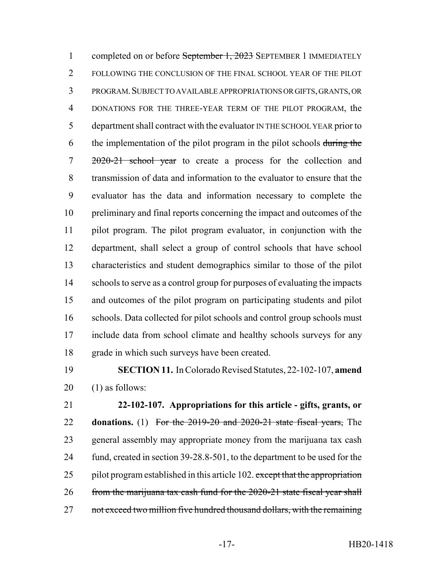1 completed on or before September 1, 2023 SEPTEMBER 1 IMMEDIATELY FOLLOWING THE CONCLUSION OF THE FINAL SCHOOL YEAR OF THE PILOT PROGRAM.SUBJECT TO AVAILABLE APPROPRIATIONS OR GIFTS, GRANTS, OR DONATIONS FOR THE THREE-YEAR TERM OF THE PILOT PROGRAM, the department shall contract with the evaluator IN THE SCHOOL YEAR prior to 6 the implementation of the pilot program in the pilot schools during the 2020-21 school year to create a process for the collection and transmission of data and information to the evaluator to ensure that the evaluator has the data and information necessary to complete the preliminary and final reports concerning the impact and outcomes of the pilot program. The pilot program evaluator, in conjunction with the department, shall select a group of control schools that have school characteristics and student demographics similar to those of the pilot schools to serve as a control group for purposes of evaluating the impacts and outcomes of the pilot program on participating students and pilot 16 schools. Data collected for pilot schools and control group schools must include data from school climate and healthy schools surveys for any grade in which such surveys have been created.

 **SECTION 11.** In Colorado Revised Statutes, 22-102-107, **amend** (1) as follows:

 **22-102-107. Appropriations for this article - gifts, grants, or donations.** (1) For the 2019-20 and 2020-21 state fiscal years, The general assembly may appropriate money from the marijuana tax cash fund, created in section 39-28.8-501, to the department to be used for the 25 pilot program established in this article 102. except that the appropriation from the marijuana tax cash fund for the 2020-21 state fiscal year shall 27 not exceed two million five hundred thousand dollars, with the remaining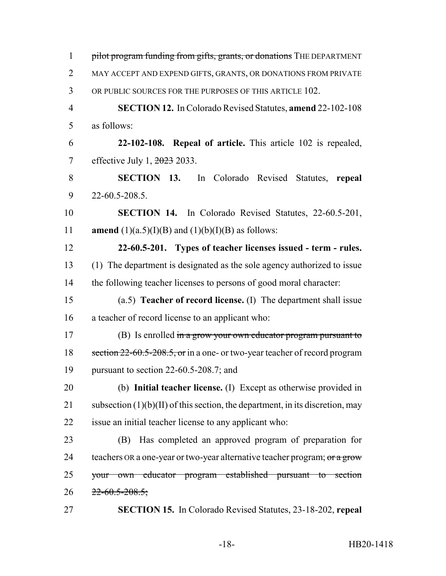1 pilot program funding from gifts, grants, or donations THE DEPARTMENT MAY ACCEPT AND EXPEND GIFTS, GRANTS, OR DONATIONS FROM PRIVATE OR PUBLIC SOURCES FOR THE PURPOSES OF THIS ARTICLE 102. **SECTION 12.** In Colorado Revised Statutes, **amend** 22-102-108 as follows: **22-102-108. Repeal of article.** This article 102 is repealed, effective July 1, 2023 2033. **SECTION 13.** In Colorado Revised Statutes, **repeal** 22-60.5-208.5. **SECTION 14.** In Colorado Revised Statutes, 22-60.5-201, **amend** (1)(a.5)(I)(B) and (1)(b)(I)(B) as follows: **22-60.5-201. Types of teacher licenses issued - term - rules.** (1) The department is designated as the sole agency authorized to issue 14 the following teacher licenses to persons of good moral character: (a.5) **Teacher of record license.** (I) The department shall issue a teacher of record license to an applicant who: 17 (B) Is enrolled in a grow your own educator program pursuant to 18 section 22-60.5-208.5, or in a one- or two-year teacher of record program pursuant to section 22-60.5-208.7; and (b) **Initial teacher license.** (I) Except as otherwise provided in 21 subsection  $(1)(b)(II)$  of this section, the department, in its discretion, may issue an initial teacher license to any applicant who: (B) Has completed an approved program of preparation for 24 teachers OR a one-year or two-year alternative teacher program; or a grow your own educator program established pursuant to section  $22-60.5-208.5$ ; **SECTION 15.** In Colorado Revised Statutes, 23-18-202, **repeal**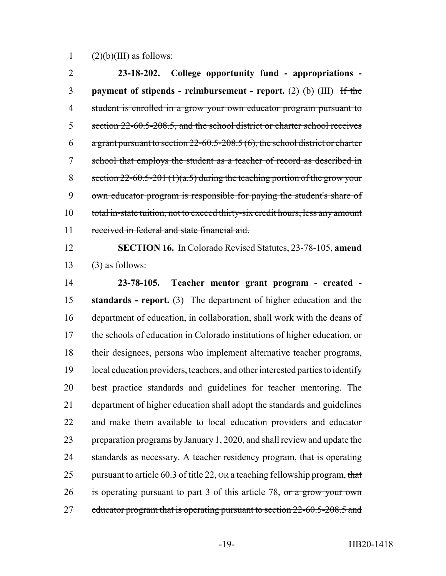1  $(2)(b)(III)$  as follows:

 **23-18-202. College opportunity fund - appropriations - payment of stipends - reimbursement - report.** (2) (b) (III) If the student is enrolled in a grow your own educator program pursuant to 5 section 22-60.5-208.5, and the school district or charter school receives 6 a grant pursuant to section -60.5-208.5 (6), the school district or charter school that employs the student as a teacher of record as described in 8 section  $22-60.5-201$  (1)(a.5) during the teaching portion of the grow your own educator program is responsible for paying the student's share of 10 total in-state tuition, not to exceed thirty-six credit hours, less any amount 11 received in federal and state financial aid.

 **SECTION 16.** In Colorado Revised Statutes, 23-78-105, **amend** (3) as follows:

 **23-78-105. Teacher mentor grant program - created - standards - report.** (3) The department of higher education and the department of education, in collaboration, shall work with the deans of the schools of education in Colorado institutions of higher education, or their designees, persons who implement alternative teacher programs, local education providers, teachers, and other interested parties to identify best practice standards and guidelines for teacher mentoring. The department of higher education shall adopt the standards and guidelines and make them available to local education providers and educator preparation programs by January 1, 2020, and shall review and update the 24 standards as necessary. A teacher residency program, that is operating 25 pursuant to article 60.3 of title 22, OR a teaching fellowship program, that 26 is operating pursuant to part 3 of this article 78,  $\sigma$  a grow your own 27 educator program that is operating pursuant to section 22-60.5-208.5 and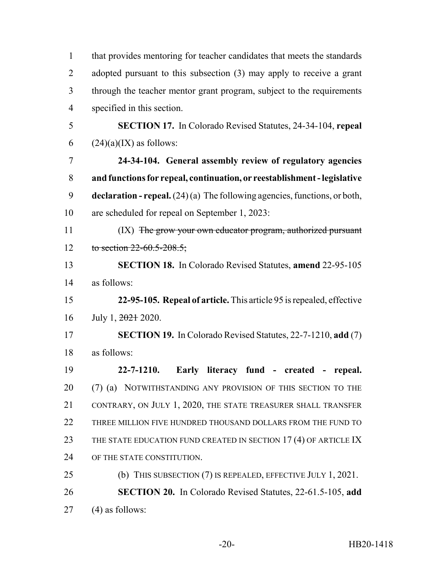| $\mathbf{1}$   | that provides mentoring for teacher candidates that meets the standards            |  |  |  |  |
|----------------|------------------------------------------------------------------------------------|--|--|--|--|
| $\overline{2}$ | adopted pursuant to this subsection $(3)$ may apply to receive a grant             |  |  |  |  |
| 3              | through the teacher mentor grant program, subject to the requirements              |  |  |  |  |
| $\overline{4}$ | specified in this section.                                                         |  |  |  |  |
| 5              | <b>SECTION 17.</b> In Colorado Revised Statutes, 24-34-104, repeal                 |  |  |  |  |
| 6              | $(24)(a)(IX)$ as follows:                                                          |  |  |  |  |
| 7              | 24-34-104. General assembly review of regulatory agencies                          |  |  |  |  |
| 8              | and functions for repeal, continuation, or reestablishment - legislative           |  |  |  |  |
| 9              | <b>declaration - repeal.</b> $(24)(a)$ The following agencies, functions, or both, |  |  |  |  |
| 10             | are scheduled for repeal on September 1, 2023:                                     |  |  |  |  |
| 11             | (IX) The grow your own educator program, authorized pursuant                       |  |  |  |  |
| 12             | to section $22-60.5-208.5$ ;                                                       |  |  |  |  |
| 13             | <b>SECTION 18.</b> In Colorado Revised Statutes, amend 22-95-105                   |  |  |  |  |
| 14             | as follows:                                                                        |  |  |  |  |
| 15             | 22-95-105. Repeal of article. This article 95 is repealed, effective               |  |  |  |  |
| 16             | July 1, 2021 2020.                                                                 |  |  |  |  |
| 17             | <b>SECTION 19.</b> In Colorado Revised Statutes, 22-7-1210, add (7)                |  |  |  |  |
| 18             | as follows:                                                                        |  |  |  |  |
| 19             | $22 - 7 - 1210.$<br>Early literacy fund - created - repeal.                        |  |  |  |  |
| 20             | (7) (a) NOTWITHSTANDING ANY PROVISION OF THIS SECTION TO THE                       |  |  |  |  |
| 21             | CONTRARY, ON JULY 1, 2020, THE STATE TREASURER SHALL TRANSFER                      |  |  |  |  |
| 22             | THREE MILLION FIVE HUNDRED THOUSAND DOLLARS FROM THE FUND TO                       |  |  |  |  |
| 23             | THE STATE EDUCATION FUND CREATED IN SECTION 17 (4) OF ARTICLE IX                   |  |  |  |  |
| 24             | OF THE STATE CONSTITUTION.                                                         |  |  |  |  |
| 25             | (b) THIS SUBSECTION $(7)$ IS REPEALED, EFFECTIVE JULY 1, 2021.                     |  |  |  |  |
| 26             | <b>SECTION 20.</b> In Colorado Revised Statutes, 22-61.5-105, add                  |  |  |  |  |
| 27             | $(4)$ as follows:                                                                  |  |  |  |  |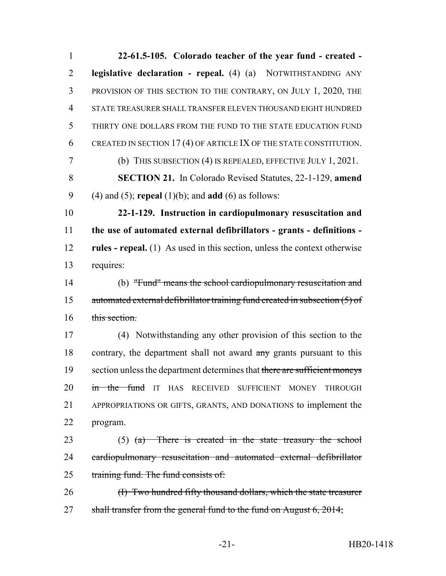**22-61.5-105. Colorado teacher of the year fund - created - legislative declaration - repeal.** (4) (a) NOTWITHSTANDING ANY PROVISION OF THIS SECTION TO THE CONTRARY, ON JULY 1, 2020, THE STATE TREASURER SHALL TRANSFER ELEVEN THOUSAND EIGHT HUNDRED THIRTY ONE DOLLARS FROM THE FUND TO THE STATE EDUCATION FUND CREATED IN SECTION 17 (4) OF ARTICLE IX OF THE STATE CONSTITUTION. (b) THIS SUBSECTION (4) IS REPEALED, EFFECTIVE JULY 1, 2021. **SECTION 21.** In Colorado Revised Statutes, 22-1-129, **amend** (4) and (5); **repeal** (1)(b); and **add** (6) as follows: **22-1-129. Instruction in cardiopulmonary resuscitation and the use of automated external defibrillators - grants - definitions - rules - repeal.** (1) As used in this section, unless the context otherwise requires: (b) "Fund" means the school cardiopulmonary resuscitation and automated external defibrillator training fund created in subsection (5) of 16 this section. (4) Notwithstanding any other provision of this section to the 18 contrary, the department shall not award any grants pursuant to this 19 section unless the department determines that there are sufficient moneys 20 in the fund IT HAS RECEIVED SUFFICIENT MONEY THROUGH APPROPRIATIONS OR GIFTS, GRANTS, AND DONATIONS to implement the program. (5) (a) There is created in the state treasury the school 24 cardiopulmonary resuscitation and automated external defibrillator 25 training fund. The fund consists of: 26 (I) Two hundred fifty thousand dollars, which the state treasurer 27 shall transfer from the general fund to the fund on August 6, 2014;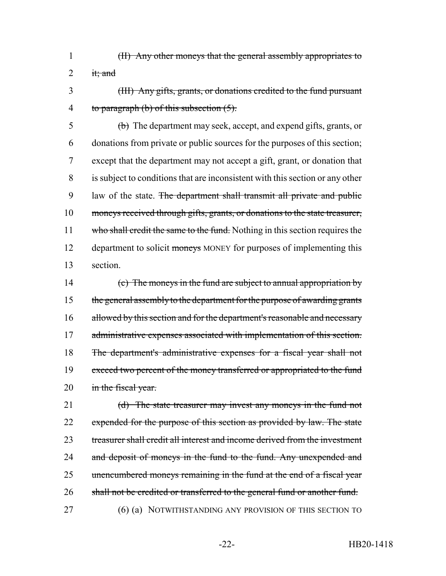- 1 (II) Any other moneys that the general assembly appropriates to 2 it; and
- 3 (III) Any gifts, grants, or donations credited to the fund pursuant 4 to paragraph  $(b)$  of this subsection  $(5)$ .

5 (b) The department may seek, accept, and expend gifts, grants, or 6 donations from private or public sources for the purposes of this section; 7 except that the department may not accept a gift, grant, or donation that 8 is subject to conditions that are inconsistent with this section or any other 9 law of the state. The department shall transmit all private and public 10 moneys received through gifts, grants, or donations to the state treasurer, 11 who shall credit the same to the fund. Nothing in this section requires the 12 department to solicit moneys MONEY for purposes of implementing this 13 section.

14 (c) The moneys in the fund are subject to annual appropriation by 15 the general assembly to the department for the purpose of awarding grants 16 allowed by this section and for the department's reasonable and necessary 17 administrative expenses associated with implementation of this section. 18 The department's administrative expenses for a fiscal year shall not 19 exceed two percent of the money transferred or appropriated to the fund 20 in the fiscal year.

21 (d) The state treasurer may invest any moneys in the fund not 22 expended for the purpose of this section as provided by law. The state 23 treasurer shall credit all interest and income derived from the investment 24 and deposit of moneys in the fund to the fund. Any unexpended and 25 unencumbered moneys remaining in the fund at the end of a fiscal year 26 shall not be credited or transferred to the general fund or another fund. 27 (6) (a) NOTWITHSTANDING ANY PROVISION OF THIS SECTION TO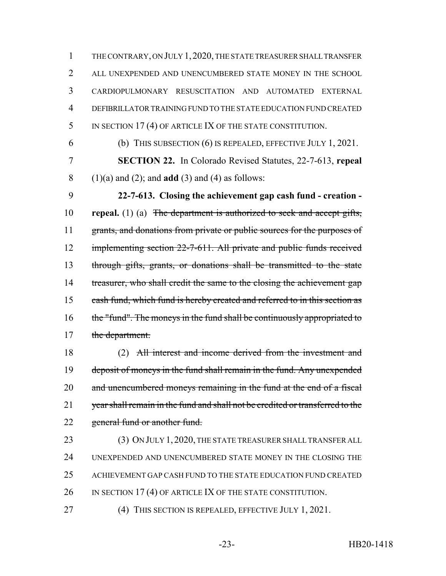1 THE CONTRARY, ON JULY 1,2020, THE STATE TREASURER SHALL TRANSFER 2 ALL UNEXPENDED AND UNENCUMBERED STATE MONEY IN THE SCHOOL 3 CARDIOPULMONARY RESUSCITATION AND AUTOMATED EXTERNAL 4 DEFIBRILLATOR TRAINING FUND TO THE STATE EDUCATION FUND CREATED 5 IN SECTION 17(4) OF ARTICLE IX OF THE STATE CONSTITUTION.

6 (b) THIS SUBSECTION (6) IS REPEALED, EFFECTIVE JULY 1, 2021.

7 **SECTION 22.** In Colorado Revised Statutes, 22-7-613, **repeal** 8 (1)(a) and (2); and **add** (3) and (4) as follows:

9 **22-7-613. Closing the achievement gap cash fund - creation -** 10 **repeal.** (1) (a) The department is authorized to seek and accept gifts, 11 grants, and donations from private or public sources for the purposes of 12 implementing section 22-7-611. All private and public funds received 13 through gifts, grants, or donations shall be transmitted to the state 14 treasurer, who shall credit the same to the closing the achievement gap 15 cash fund, which fund is hereby created and referred to in this section as 16 the "fund". The moneys in the fund shall be continuously appropriated to 17 the department.

18 (2) All interest and income derived from the investment and 19 deposit of moneys in the fund shall remain in the fund. Any unexpended 20 and unencumbered moneys remaining in the fund at the end of a fiscal 21 year shall remain in the fund and shall not be credited or transferred to the 22 general fund or another fund.

23 (3) ON JULY 1, 2020, THE STATE TREASURER SHALL TRANSFER ALL 24 UNEXPENDED AND UNENCUMBERED STATE MONEY IN THE CLOSING THE 25 ACHIEVEMENT GAP CASH FUND TO THE STATE EDUCATION FUND CREATED 26 IN SECTION 17(4) OF ARTICLE IX OF THE STATE CONSTITUTION.

27 (4) THIS SECTION IS REPEALED, EFFECTIVE JULY 1, 2021.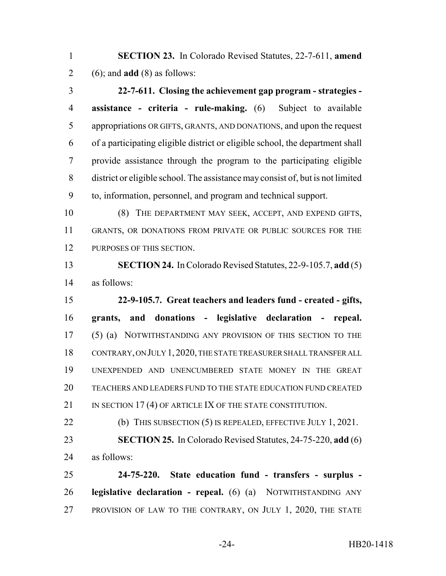**SECTION 23.** In Colorado Revised Statutes, 22-7-611, **amend** (6); and **add** (8) as follows:

 **22-7-611. Closing the achievement gap program - strategies - assistance - criteria - rule-making.** (6) Subject to available appropriations OR GIFTS, GRANTS, AND DONATIONS, and upon the request of a participating eligible district or eligible school, the department shall provide assistance through the program to the participating eligible district or eligible school. The assistance may consist of, but is not limited to, information, personnel, and program and technical support.

 (8) THE DEPARTMENT MAY SEEK, ACCEPT, AND EXPEND GIFTS, GRANTS, OR DONATIONS FROM PRIVATE OR PUBLIC SOURCES FOR THE PURPOSES OF THIS SECTION.

 **SECTION 24.** In Colorado Revised Statutes, 22-9-105.7, **add** (5) as follows:

 **22-9-105.7. Great teachers and leaders fund - created - gifts, grants, and donations - legislative declaration - repeal.** (5) (a) NOTWITHSTANDING ANY PROVISION OF THIS SECTION TO THE CONTRARY, ON JULY 1,2020, THE STATE TREASURER SHALL TRANSFER ALL UNEXPENDED AND UNENCUMBERED STATE MONEY IN THE GREAT TEACHERS AND LEADERS FUND TO THE STATE EDUCATION FUND CREATED 21 IN SECTION 17(4) OF ARTICLE IX OF THE STATE CONSTITUTION.

22 (b) THIS SUBSECTION (5) IS REPEALED, EFFECTIVE JULY 1, 2021. **SECTION 25.** In Colorado Revised Statutes, 24-75-220, **add** (6) as follows:

 **24-75-220. State education fund - transfers - surplus - legislative declaration - repeal.** (6) (a) NOTWITHSTANDING ANY PROVISION OF LAW TO THE CONTRARY, ON JULY 1, 2020, THE STATE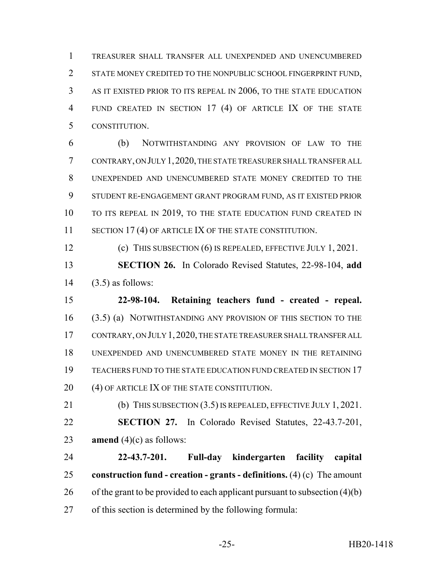TREASURER SHALL TRANSFER ALL UNEXPENDED AND UNENCUMBERED STATE MONEY CREDITED TO THE NONPUBLIC SCHOOL FINGERPRINT FUND, AS IT EXISTED PRIOR TO ITS REPEAL IN 2006, TO THE STATE EDUCATION FUND CREATED IN SECTION 17 (4) OF ARTICLE IX OF THE STATE CONSTITUTION.

 (b) NOTWITHSTANDING ANY PROVISION OF LAW TO THE CONTRARY, ON JULY 1,2020, THE STATE TREASURER SHALL TRANSFER ALL UNEXPENDED AND UNENCUMBERED STATE MONEY CREDITED TO THE STUDENT RE-ENGAGEMENT GRANT PROGRAM FUND, AS IT EXISTED PRIOR 10 TO ITS REPEAL IN 2019, TO THE STATE EDUCATION FUND CREATED IN 11 SECTION 17 (4) OF ARTICLE IX OF THE STATE CONSTITUTION.

(c) THIS SUBSECTION (6) IS REPEALED, EFFECTIVE JULY 1, 2021.

 **SECTION 26.** In Colorado Revised Statutes, 22-98-104, **add** (3.5) as follows:

 **22-98-104. Retaining teachers fund - created - repeal.** (3.5) (a) NOTWITHSTANDING ANY PROVISION OF THIS SECTION TO THE CONTRARY, ON JULY 1,2020, THE STATE TREASURER SHALL TRANSFER ALL UNEXPENDED AND UNENCUMBERED STATE MONEY IN THE RETAINING TEACHERS FUND TO THE STATE EDUCATION FUND CREATED IN SECTION 17 20 (4) OF ARTICLE IX OF THE STATE CONSTITUTION.

 (b) THIS SUBSECTION (3.5) IS REPEALED, EFFECTIVE JULY 1, 2021. **SECTION 27.** In Colorado Revised Statutes, 22-43.7-201, **amend** (4)(c) as follows:

 **22-43.7-201. Full-day kindergarten facility capital construction fund - creation - grants - definitions.** (4) (c) The amount 26 of the grant to be provided to each applicant pursuant to subsection  $(4)(b)$ of this section is determined by the following formula: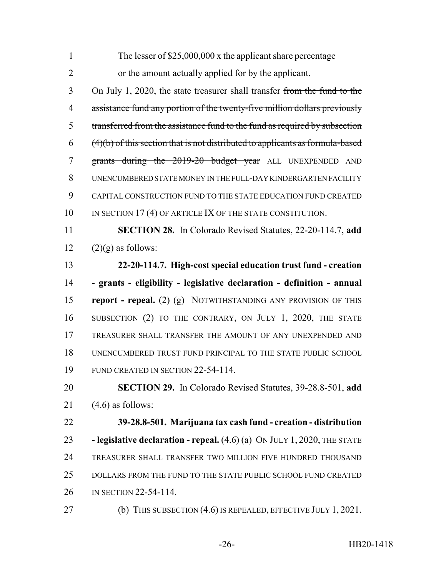| $\mathbf{1}$   | The lesser of $$25,000,000$ x the applicant share percentage                    |
|----------------|---------------------------------------------------------------------------------|
| $\overline{2}$ | or the amount actually applied for by the applicant.                            |
| 3              | On July 1, 2020, the state treasurer shall transfer from the fund to the        |
| $\overline{4}$ | assistance fund any portion of the twenty-five million dollars previously       |
| 5              | transferred from the assistance fund to the fund as required by subsection      |
| 6              | $(4)(b)$ of this section that is not distributed to applicants as formula-based |
| $\tau$         | grants during the 2019-20 budget year ALL UNEXPENDED AND                        |
| 8              | UNENCUMBERED STATE MONEY IN THE FULL-DAY KINDERGARTEN FACILITY                  |
| 9              | CAPITAL CONSTRUCTION FUND TO THE STATE EDUCATION FUND CREATED                   |
| 10             | IN SECTION 17 (4) OF ARTICLE IX OF THE STATE CONSTITUTION.                      |
| 11             | SECTION 28. In Colorado Revised Statutes, 22-20-114.7, add                      |
| 12             | $(2)(g)$ as follows:                                                            |
| 13             | 22-20-114.7. High-cost special education trust fund - creation                  |
| 14             | - grants - eligibility - legislative declaration - definition - annual          |
| 15             | <b>report - repeal.</b> (2) (g) NOTWITHSTANDING ANY PROVISION OF THIS           |
| 16             | SUBSECTION (2) TO THE CONTRARY, ON JULY 1, 2020, THE STATE                      |
| 17             | TREASURER SHALL TRANSFER THE AMOUNT OF ANY UNEXPENDED AND                       |
| 18             | UNENCUMBERED TRUST FUND PRINCIPAL TO THE STATE PUBLIC SCHOOL                    |
| 19             | FUND CREATED IN SECTION 22-54-114.                                              |
| 20             | SECTION 29. In Colorado Revised Statutes, 39-28.8-501, add                      |
| 21             | $(4.6)$ as follows:                                                             |
| 22             | 39-28.8-501. Marijuana tax cash fund - creation - distribution                  |
| 23             | - legislative declaration - repeal. $(4.6)$ (a) ON JULY 1, 2020, THE STATE      |
| 24             | TREASURER SHALL TRANSFER TWO MILLION FIVE HUNDRED THOUSAND                      |
| 25             | DOLLARS FROM THE FUND TO THE STATE PUBLIC SCHOOL FUND CREATED                   |
| 26             | IN SECTION 22-54-114.                                                           |
| 27             | (b) THIS SUBSECTION $(4.6)$ IS REPEALED, EFFECTIVE JULY 1, 2021.                |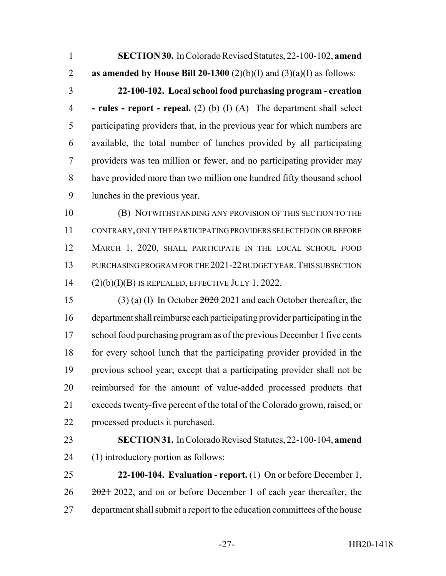**SECTION 30.** In Colorado Revised Statutes, 22-100-102, **amend as amended by House Bill 20-1300** (2)(b)(I) and (3)(a)(I) as follows: **22-100-102. Local school food purchasing program - creation - rules - report - repeal.** (2) (b) (I) (A) The department shall select participating providers that, in the previous year for which numbers are available, the total number of lunches provided by all participating providers was ten million or fewer, and no participating provider may have provided more than two million one hundred fifty thousand school lunches in the previous year. (B) NOTWITHSTANDING ANY PROVISION OF THIS SECTION TO THE CONTRARY, ONLY THE PARTICIPATING PROVIDERS SELECTED ON OR BEFORE MARCH 1, 2020, SHALL PARTICIPATE IN THE LOCAL SCHOOL FOOD 13 PURCHASING PROGRAM FOR THE 2021-22 BUDGET YEAR. THIS SUBSECTION (2)(b)(I)(B) IS REPEALED, EFFECTIVE JULY 1, 2022. (3) (a) (I) In October 2020 2021 and each October thereafter, the department shall reimburse each participating provider participating in the 17 school food purchasing program as of the previous December 1 five cents for every school lunch that the participating provider provided in the previous school year; except that a participating provider shall not be reimbursed for the amount of value-added processed products that exceeds twenty-five percent of the total of the Colorado grown, raised, or processed products it purchased. **SECTION 31.** In Colorado Revised Statutes, 22-100-104, **amend** (1) introductory portion as follows: **22-100-104. Evaluation - report.** (1) On or before December 1,  $26 \frac{2021}{2022}$ , and on or before December 1 of each year thereafter, the department shall submit a report to the education committees of the house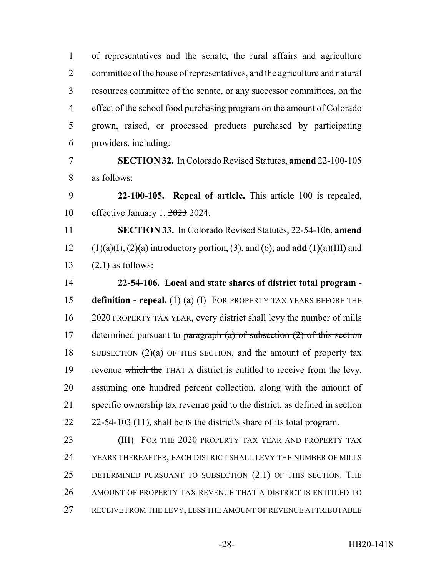of representatives and the senate, the rural affairs and agriculture committee of the house of representatives, and the agriculture and natural resources committee of the senate, or any successor committees, on the effect of the school food purchasing program on the amount of Colorado grown, raised, or processed products purchased by participating providers, including:

 **SECTION 32.** In Colorado Revised Statutes, **amend** 22-100-105 as follows:

 **22-100-105. Repeal of article.** This article 100 is repealed, effective January 1, 2023 2024.

 **SECTION 33.** In Colorado Revised Statutes, 22-54-106, **amend** 12 (1)(a)(I), (2)(a) introductory portion, (3), and (6); and **add** (1)(a)(III) and  $13 \qquad (2.1)$  as follows:

 **22-54-106. Local and state shares of district total program - definition - repeal.** (1) (a) (I) FOR PROPERTY TAX YEARS BEFORE THE 2020 PROPERTY TAX YEAR, every district shall levy the number of mills 17 determined pursuant to paragraph  $(a)$  of subsection  $(2)$  of this section SUBSECTION (2)(a) OF THIS SECTION, and the amount of property tax 19 revenue which the THAT A district is entitled to receive from the levy, assuming one hundred percent collection, along with the amount of specific ownership tax revenue paid to the district, as defined in section  $22-54-103$  (11), shall be IS the district's share of its total program.

23 (III) FOR THE 2020 PROPERTY TAX YEAR AND PROPERTY TAX YEARS THEREAFTER, EACH DISTRICT SHALL LEVY THE NUMBER OF MILLS DETERMINED PURSUANT TO SUBSECTION (2.1) OF THIS SECTION. THE AMOUNT OF PROPERTY TAX REVENUE THAT A DISTRICT IS ENTITLED TO RECEIVE FROM THE LEVY, LESS THE AMOUNT OF REVENUE ATTRIBUTABLE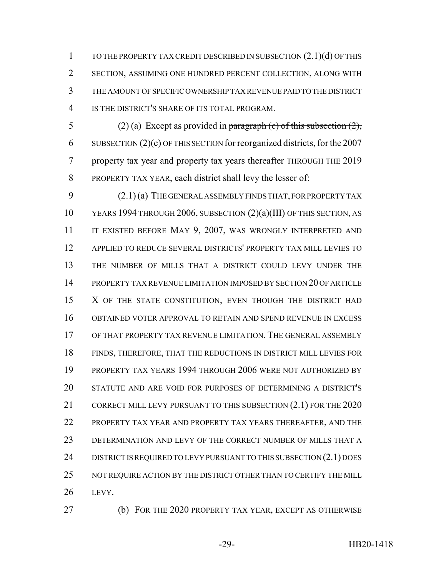TO THE PROPERTY TAX CREDIT DESCRIBED IN SUBSECTION (2.1)(d) OF THIS SECTION, ASSUMING ONE HUNDRED PERCENT COLLECTION, ALONG WITH THE AMOUNT OF SPECIFIC OWNERSHIP TAX REVENUE PAID TO THE DISTRICT IS THE DISTRICT'S SHARE OF ITS TOTAL PROGRAM.

5 (2) (a) Except as provided in paragraph (c) of this subsection  $(2)$ , SUBSECTION (2)(c) OF THIS SECTION for reorganized districts, for the 2007 property tax year and property tax years thereafter THROUGH THE 2019 PROPERTY TAX YEAR, each district shall levy the lesser of:

 (2.1) (a) THE GENERAL ASSEMBLY FINDS THAT, FOR PROPERTY TAX YEARS 1994 THROUGH 2006, SUBSECTION (2)(a)(III) OF THIS SECTION, AS 11 IT EXISTED BEFORE MAY 9, 2007, WAS WRONGLY INTERPRETED AND APPLIED TO REDUCE SEVERAL DISTRICTS' PROPERTY TAX MILL LEVIES TO THE NUMBER OF MILLS THAT A DISTRICT COULD LEVY UNDER THE PROPERTY TAX REVENUE LIMITATION IMPOSED BY SECTION 20 OF ARTICLE 15 X OF THE STATE CONSTITUTION, EVEN THOUGH THE DISTRICT HAD OBTAINED VOTER APPROVAL TO RETAIN AND SPEND REVENUE IN EXCESS OF THAT PROPERTY TAX REVENUE LIMITATION. THE GENERAL ASSEMBLY FINDS, THEREFORE, THAT THE REDUCTIONS IN DISTRICT MILL LEVIES FOR PROPERTY TAX YEARS 1994 THROUGH 2006 WERE NOT AUTHORIZED BY STATUTE AND ARE VOID FOR PURPOSES OF DETERMINING A DISTRICT'S 21 CORRECT MILL LEVY PURSUANT TO THIS SUBSECTION (2.1) FOR THE 2020 PROPERTY TAX YEAR AND PROPERTY TAX YEARS THEREAFTER, AND THE DETERMINATION AND LEVY OF THE CORRECT NUMBER OF MILLS THAT A 24 DISTRICT IS REQUIRED TO LEVY PURSUANT TO THIS SUBSECTION (2.1) DOES 25 NOT REQUIRE ACTION BY THE DISTRICT OTHER THAN TO CERTIFY THE MILL LEVY.

(b) FOR THE 2020 PROPERTY TAX YEAR, EXCEPT AS OTHERWISE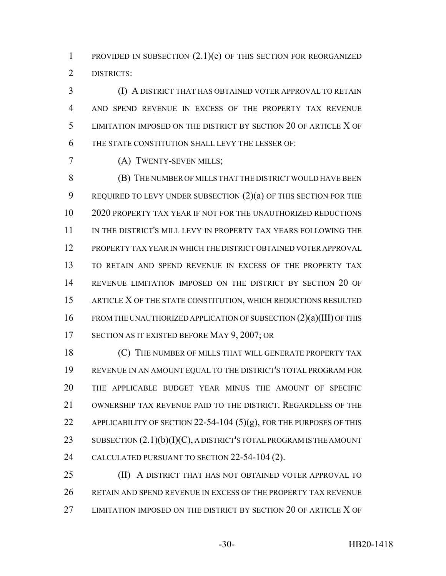1 PROVIDED IN SUBSECTION  $(2.1)(e)$  OF THIS SECTION FOR REORGANIZED DISTRICTS:

 (I) A DISTRICT THAT HAS OBTAINED VOTER APPROVAL TO RETAIN AND SPEND REVENUE IN EXCESS OF THE PROPERTY TAX REVENUE LIMITATION IMPOSED ON THE DISTRICT BY SECTION 20 OF ARTICLE X OF THE STATE CONSTITUTION SHALL LEVY THE LESSER OF:

(A) TWENTY-SEVEN MILLS;

 (B) THE NUMBER OF MILLS THAT THE DISTRICT WOULD HAVE BEEN 9 REQUIRED TO LEVY UNDER SUBSECTION  $(2)(a)$  OF THIS SECTION FOR THE 2020 PROPERTY TAX YEAR IF NOT FOR THE UNAUTHORIZED REDUCTIONS IN THE DISTRICT'S MILL LEVY IN PROPERTY TAX YEARS FOLLOWING THE PROPERTY TAX YEAR IN WHICH THE DISTRICT OBTAINED VOTER APPROVAL TO RETAIN AND SPEND REVENUE IN EXCESS OF THE PROPERTY TAX REVENUE LIMITATION IMPOSED ON THE DISTRICT BY SECTION 20 OF 15 ARTICLE X OF THE STATE CONSTITUTION, WHICH REDUCTIONS RESULTED FROM THE UNAUTHORIZED APPLICATION OF SUBSECTION (2)(a)(III) OF THIS 17 SECTION AS IT EXISTED BEFORE MAY 9, 2007; OR

**(C)** THE NUMBER OF MILLS THAT WILL GENERATE PROPERTY TAX REVENUE IN AN AMOUNT EQUAL TO THE DISTRICT'S TOTAL PROGRAM FOR THE APPLICABLE BUDGET YEAR MINUS THE AMOUNT OF SPECIFIC OWNERSHIP TAX REVENUE PAID TO THE DISTRICT. REGARDLESS OF THE 22 APPLICABILITY OF SECTION 22-54-104  $(5)(g)$ , FOR THE PURPOSES OF THIS 23 SUBSECTION  $(2.1)(b)(I)(C)$ , A DISTRICT'S TOTAL PROGRAM IS THE AMOUNT CALCULATED PURSUANT TO SECTION 22-54-104 (2).

 (II) A DISTRICT THAT HAS NOT OBTAINED VOTER APPROVAL TO RETAIN AND SPEND REVENUE IN EXCESS OF THE PROPERTY TAX REVENUE LIMITATION IMPOSED ON THE DISTRICT BY SECTION 20 OF ARTICLE X OF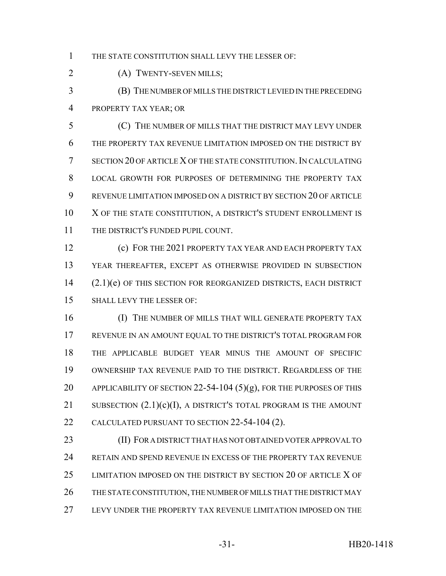THE STATE CONSTITUTION SHALL LEVY THE LESSER OF:

(A) TWENTY-SEVEN MILLS;

 (B) THE NUMBER OF MILLS THE DISTRICT LEVIED IN THE PRECEDING PROPERTY TAX YEAR; OR

 (C) THE NUMBER OF MILLS THAT THE DISTRICT MAY LEVY UNDER THE PROPERTY TAX REVENUE LIMITATION IMPOSED ON THE DISTRICT BY SECTION 20 OF ARTICLE X OF THE STATE CONSTITUTION.IN CALCULATING LOCAL GROWTH FOR PURPOSES OF DETERMINING THE PROPERTY TAX REVENUE LIMITATION IMPOSED ON A DISTRICT BY SECTION 20 OF ARTICLE 10 X OF THE STATE CONSTITUTION, A DISTRICT'S STUDENT ENROLLMENT IS 11 THE DISTRICT'S FUNDED PUPIL COUNT.

 (c) FOR THE 2021 PROPERTY TAX YEAR AND EACH PROPERTY TAX YEAR THEREAFTER, EXCEPT AS OTHERWISE PROVIDED IN SUBSECTION 14 (2.1)(e) OF THIS SECTION FOR REORGANIZED DISTRICTS, EACH DISTRICT SHALL LEVY THE LESSER OF:

**(I) THE NUMBER OF MILLS THAT WILL GENERATE PROPERTY TAX**  REVENUE IN AN AMOUNT EQUAL TO THE DISTRICT'S TOTAL PROGRAM FOR THE APPLICABLE BUDGET YEAR MINUS THE AMOUNT OF SPECIFIC OWNERSHIP TAX REVENUE PAID TO THE DISTRICT. REGARDLESS OF THE 20 APPLICABILITY OF SECTION 22-54-104 (5)(g), FOR THE PURPOSES OF THIS 21 SUBSECTION  $(2.1)(c)(I)$ , A DISTRICT'S TOTAL PROGRAM IS THE AMOUNT CALCULATED PURSUANT TO SECTION 22-54-104 (2).

**(II) FOR A DISTRICT THAT HAS NOT OBTAINED VOTER APPROVAL TO**  RETAIN AND SPEND REVENUE IN EXCESS OF THE PROPERTY TAX REVENUE LIMITATION IMPOSED ON THE DISTRICT BY SECTION 20 OF ARTICLE X OF THE STATE CONSTITUTION, THE NUMBER OF MILLS THAT THE DISTRICT MAY LEVY UNDER THE PROPERTY TAX REVENUE LIMITATION IMPOSED ON THE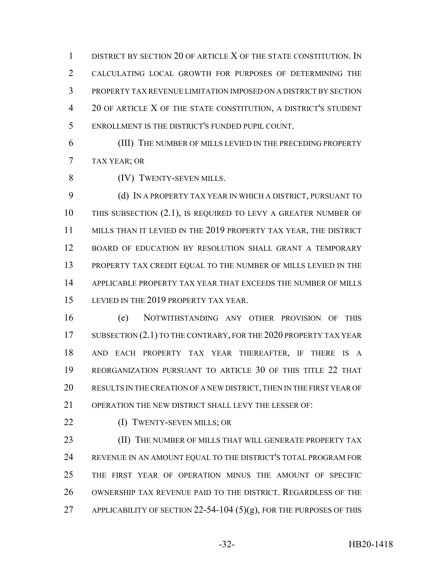DISTRICT BY SECTION 20 OF ARTICLE X OF THE STATE CONSTITUTION. IN CALCULATING LOCAL GROWTH FOR PURPOSES OF DETERMINING THE PROPERTY TAX REVENUE LIMITATION IMPOSED ON A DISTRICT BY SECTION 20 OF ARTICLE X OF THE STATE CONSTITUTION, A DISTRICT'S STUDENT ENROLLMENT IS THE DISTRICT'S FUNDED PUPIL COUNT.

 (III) THE NUMBER OF MILLS LEVIED IN THE PRECEDING PROPERTY TAX YEAR; OR

(IV) TWENTY-SEVEN MILLS.

 (d) IN A PROPERTY TAX YEAR IN WHICH A DISTRICT, PURSUANT TO THIS SUBSECTION (2.1), IS REQUIRED TO LEVY A GREATER NUMBER OF 11 MILLS THAN IT LEVIED IN THE 2019 PROPERTY TAX YEAR, THE DISTRICT BOARD OF EDUCATION BY RESOLUTION SHALL GRANT A TEMPORARY PROPERTY TAX CREDIT EQUAL TO THE NUMBER OF MILLS LEVIED IN THE APPLICABLE PROPERTY TAX YEAR THAT EXCEEDS THE NUMBER OF MILLS 15 LEVIED IN THE 2019 PROPERTY TAX YEAR.

 (e) NOTWITHSTANDING ANY OTHER PROVISION OF THIS 17 SUBSECTION (2.1) TO THE CONTRARY, FOR THE 2020 PROPERTY TAX YEAR AND EACH PROPERTY TAX YEAR THEREAFTER, IF THERE IS A REORGANIZATION PURSUANT TO ARTICLE 30 OF THIS TITLE 22 THAT RESULTS IN THE CREATION OF A NEW DISTRICT, THEN IN THE FIRST YEAR OF OPERATION THE NEW DISTRICT SHALL LEVY THE LESSER OF:

22 (I) TWENTY-SEVEN MILLS; OR

**(II) THE NUMBER OF MILLS THAT WILL GENERATE PROPERTY TAX**  REVENUE IN AN AMOUNT EQUAL TO THE DISTRICT'S TOTAL PROGRAM FOR THE FIRST YEAR OF OPERATION MINUS THE AMOUNT OF SPECIFIC OWNERSHIP TAX REVENUE PAID TO THE DISTRICT. REGARDLESS OF THE 27 APPLICABILITY OF SECTION 22-54-104  $(5)(g)$ , FOR THE PURPOSES OF THIS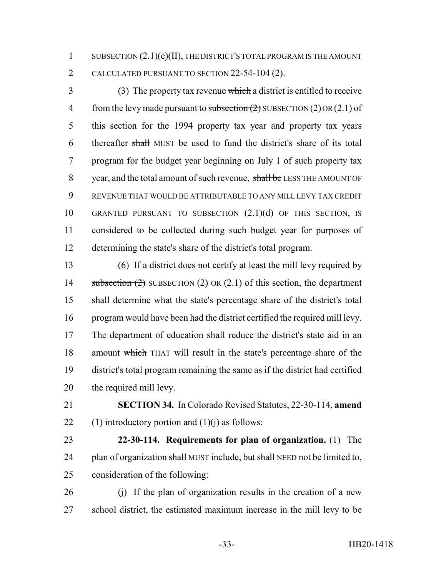1 SUBSECTION  $(2.1)(e)(II)$ , THE DISTRICT'S TOTAL PROGRAM IS THE AMOUNT CALCULATED PURSUANT TO SECTION 22-54-104 (2).

 (3) The property tax revenue which a district is entitled to receive 4 from the levy made pursuant to subsection  $(2)$  SUBSECTION  $(2)$  OR  $(2.1)$  of this section for the 1994 property tax year and property tax years thereafter shall MUST be used to fund the district's share of its total program for the budget year beginning on July 1 of such property tax 8 year, and the total amount of such revenue, shall be LESS THE AMOUNT OF REVENUE THAT WOULD BE ATTRIBUTABLE TO ANY MILL LEVY TAX CREDIT GRANTED PURSUANT TO SUBSECTION (2.1)(d) OF THIS SECTION, IS considered to be collected during such budget year for purposes of determining the state's share of the district's total program.

 (6) If a district does not certify at least the mill levy required by 14 subsection (2) SUBSECTION (2) OR (2.1) of this section, the department shall determine what the state's percentage share of the district's total program would have been had the district certified the required mill levy. The department of education shall reduce the district's state aid in an amount which THAT will result in the state's percentage share of the district's total program remaining the same as if the district had certified the required mill levy.

 **SECTION 34.** In Colorado Revised Statutes, 22-30-114, **amend** 22 (1) introductory portion and  $(1)(j)$  as follows:

 **22-30-114. Requirements for plan of organization.** (1) The 24 plan of organization shall MUST include, but shall NEED not be limited to, consideration of the following:

 (j) If the plan of organization results in the creation of a new school district, the estimated maximum increase in the mill levy to be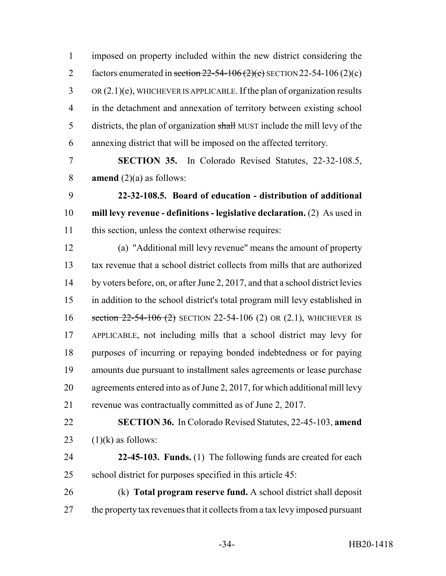imposed on property included within the new district considering the 2 factors enumerated in section  $22-54-106(2)(c)$  SECTION 22-54-106 (2)(c) OR (2.1)(e), WHICHEVER IS APPLICABLE. If the plan of organization results in the detachment and annexation of territory between existing school 5 districts, the plan of organization shall MUST include the mill levy of the annexing district that will be imposed on the affected territory.

 **SECTION 35.** In Colorado Revised Statutes, 22-32-108.5, **amend** (2)(a) as follows:

 **22-32-108.5. Board of education - distribution of additional mill levy revenue - definitions - legislative declaration.** (2) As used in this section, unless the context otherwise requires:

 (a) "Additional mill levy revenue" means the amount of property tax revenue that a school district collects from mills that are authorized by voters before, on, or after June 2, 2017, and that a school district levies in addition to the school district's total program mill levy established in 16 section 22-54-106 (2) SECTION 22-54-106 (2) OR (2.1), WHICHEVER IS APPLICABLE, not including mills that a school district may levy for purposes of incurring or repaying bonded indebtedness or for paying amounts due pursuant to installment sales agreements or lease purchase agreements entered into as of June 2, 2017, for which additional mill levy revenue was contractually committed as of June 2, 2017.

 **SECTION 36.** In Colorado Revised Statutes, 22-45-103, **amend** 23  $(1)(k)$  as follows:

 **22-45-103. Funds.** (1) The following funds are created for each school district for purposes specified in this article 45:

 (k) **Total program reserve fund.** A school district shall deposit 27 the property tax revenues that it collects from a tax levy imposed pursuant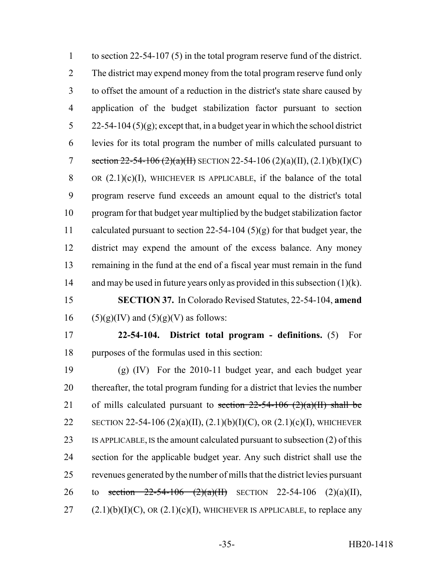to section 22-54-107 (5) in the total program reserve fund of the district. The district may expend money from the total program reserve fund only to offset the amount of a reduction in the district's state share caused by application of the budget stabilization factor pursuant to section 5 22-54-104 (5)(g); except that, in a budget year in which the school district levies for its total program the number of mills calculated pursuant to 7 section  $22-54-106$  ( $2$ )(a)(II) SECTION 22-54-106 (2)(a)(II), (2.1)(b)(I)(C) 8 OR  $(2.1)(c)(I)$ , WHICHEVER IS APPLICABLE, if the balance of the total program reserve fund exceeds an amount equal to the district's total program for that budget year multiplied by the budget stabilization factor calculated pursuant to section 22-54-104 (5)(g) for that budget year, the district may expend the amount of the excess balance. Any money remaining in the fund at the end of a fiscal year must remain in the fund 14 and may be used in future years only as provided in this subsection (1)(k). **SECTION 37.** In Colorado Revised Statutes, 22-54-104, **amend** 16 (5)(g)(IV) and (5)(g)(V) as follows: **22-54-104. District total program - definitions.** (5) For purposes of the formulas used in this section: (g) (IV) For the 2010-11 budget year, and each budget year thereafter, the total program funding for a district that levies the number 21 of mills calculated pursuant to section  $22-54-106$  (2)(a)(II) shall be 22 SECTION 22-54-106 (2)(a)(II), (2.1)(b)(I)(C), OR (2.1)(c)(I), WHICHEVER IS APPLICABLE, IS the amount calculated pursuant to subsection (2) of this section for the applicable budget year. Any such district shall use the revenues generated by the number of mills that the district levies pursuant 26 to section  $22-54-106$   $(2)(a)(H)$  SECTION 22-54-106  $(2)(a)(H)$ ,

27  $(2.1)(b)(I)(C)$ , OR  $(2.1)(c)(I)$ , WHICHEVER IS APPLICABLE, to replace any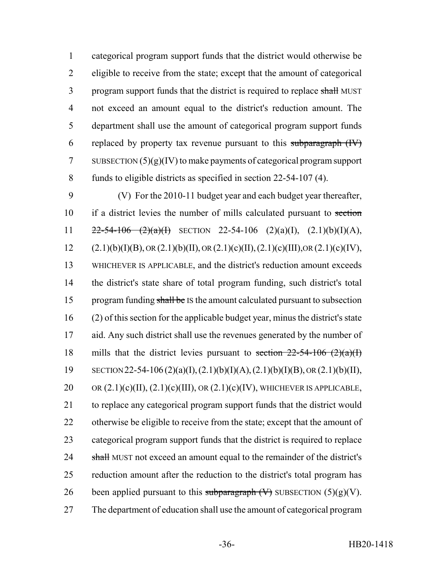categorical program support funds that the district would otherwise be eligible to receive from the state; except that the amount of categorical 3 program support funds that the district is required to replace shall MUST not exceed an amount equal to the district's reduction amount. The department shall use the amount of categorical program support funds 6 replaced by property tax revenue pursuant to this subparagraph  $(W)$ 7 SUBSECTION  $(5)(g)(IV)$  to make payments of categorical program support funds to eligible districts as specified in section 22-54-107 (4).

9 (V) For the 2010-11 budget year and each budget year thereafter, 10 if a district levies the number of mills calculated pursuant to section 11  $22-54-106$   $(2)(a)(1)$  SECTION 22-54-106  $(2)(a)(1)$ ,  $(2.1)(b)(1)(A)$ , 12 (2.1)(b)(I)(B), OR (2.1)(b)(II), OR (2.1)(c)(II), (2.1)(c)(III), OR (2.1)(c)(IV), 13 WHICHEVER IS APPLICABLE, and the district's reduction amount exceeds 14 the district's state share of total program funding, such district's total 15 program funding shall be IS the amount calculated pursuant to subsection 16 (2) of this section for the applicable budget year, minus the district's state 17 aid. Any such district shall use the revenues generated by the number of 18 mills that the district levies pursuant to section  $22-54-106$   $(2)(a)(1)$ 19 SECTION 22-54-106 (2)(a)(I), (2.1)(b)(I)(A), (2.1)(b)(I)(B), OR (2.1)(b)(II), 20 OR  $(2.1)(c)(II)$ ,  $(2.1)(c)(III)$ , OR  $(2.1)(c)(IV)$ , WHICHEVER IS APPLICABLE, 21 to replace any categorical program support funds that the district would 22 otherwise be eligible to receive from the state; except that the amount of 23 categorical program support funds that the district is required to replace 24 shall MUST not exceed an amount equal to the remainder of the district's 25 reduction amount after the reduction to the district's total program has 26 been applied pursuant to this subparagraph  $(V)$  SUBSECTION  $(5)(g)(V)$ . 27 The department of education shall use the amount of categorical program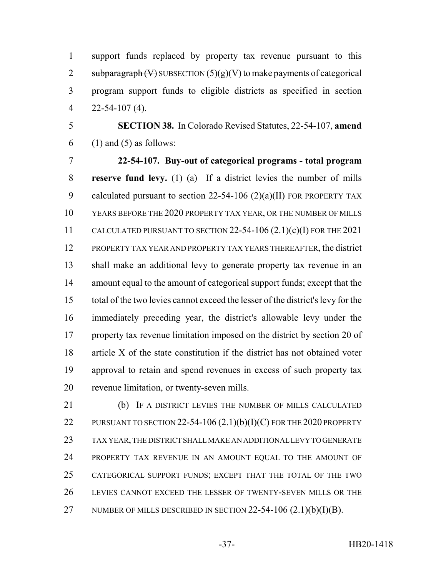support funds replaced by property tax revenue pursuant to this 2 subparagraph  $(V)$  SUBSECTION  $(5)(g)(V)$  to make payments of categorical program support funds to eligible districts as specified in section 22-54-107 (4).

 **SECTION 38.** In Colorado Revised Statutes, 22-54-107, **amend** (1) and (5) as follows:

 **22-54-107. Buy-out of categorical programs - total program reserve fund levy.** (1) (a) If a district levies the number of mills 9 calculated pursuant to section 22-54-106 (2)(a)(II) FOR PROPERTY TAX YEARS BEFORE THE 2020 PROPERTY TAX YEAR, OR THE NUMBER OF MILLS CALCULATED PURSUANT TO SECTION 22-54-106 (2.1)(c)(I) FOR THE 2021 PROPERTY TAX YEAR AND PROPERTY TAX YEARS THEREAFTER, the district shall make an additional levy to generate property tax revenue in an amount equal to the amount of categorical support funds; except that the total of the two levies cannot exceed the lesser of the district's levy for the immediately preceding year, the district's allowable levy under the property tax revenue limitation imposed on the district by section 20 of article X of the state constitution if the district has not obtained voter approval to retain and spend revenues in excess of such property tax revenue limitation, or twenty-seven mills.

 (b) IF A DISTRICT LEVIES THE NUMBER OF MILLS CALCULATED 22 PURSUANT TO SECTION 22-54-106  $(2.1)(b)(I)(C)$  for the 2020 property TAX YEAR, THE DISTRICT SHALL MAKE AN ADDITIONAL LEVY TO GENERATE PROPERTY TAX REVENUE IN AN AMOUNT EQUAL TO THE AMOUNT OF CATEGORICAL SUPPORT FUNDS; EXCEPT THAT THE TOTAL OF THE TWO LEVIES CANNOT EXCEED THE LESSER OF TWENTY-SEVEN MILLS OR THE 27 NUMBER OF MILLS DESCRIBED IN SECTION  $22-54-106(2.1)(b)(I)(B)$ .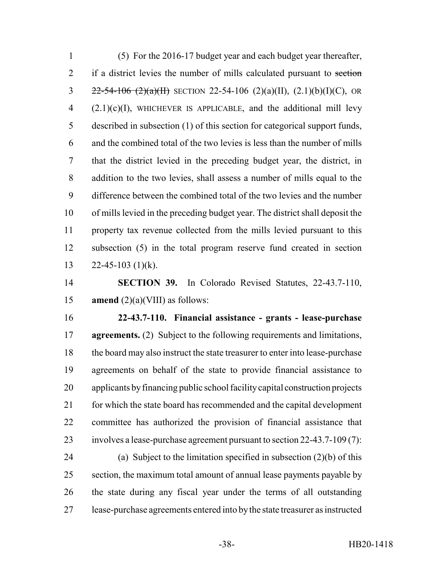(5) For the 2016-17 budget year and each budget year thereafter, 2 if a district levies the number of mills calculated pursuant to section  $22-54-106$   $(2)(a)(H)$  SECTION 22-54-106  $(2)(a)(H)$ ,  $(2.1)(b)(I)(C)$ , OR  $(2.1)(c)(I)$ , WHICHEVER IS APPLICABLE, and the additional mill levy described in subsection (1) of this section for categorical support funds, and the combined total of the two levies is less than the number of mills that the district levied in the preceding budget year, the district, in addition to the two levies, shall assess a number of mills equal to the difference between the combined total of the two levies and the number of mills levied in the preceding budget year. The district shall deposit the property tax revenue collected from the mills levied pursuant to this subsection (5) in the total program reserve fund created in section 13 22-45-103 (1)(k).

 **SECTION 39.** In Colorado Revised Statutes, 22-43.7-110, 15 **amend**  $(2)(a)$ (VIII) as follows:

 **22-43.7-110. Financial assistance - grants - lease-purchase agreements.** (2) Subject to the following requirements and limitations, the board may also instruct the state treasurer to enter into lease-purchase agreements on behalf of the state to provide financial assistance to applicants by financing public school facility capital construction projects for which the state board has recommended and the capital development committee has authorized the provision of financial assistance that involves a lease-purchase agreement pursuant to section 22-43.7-109 (7):

 (a) Subject to the limitation specified in subsection (2)(b) of this section, the maximum total amount of annual lease payments payable by the state during any fiscal year under the terms of all outstanding lease-purchase agreements entered into by the state treasurer as instructed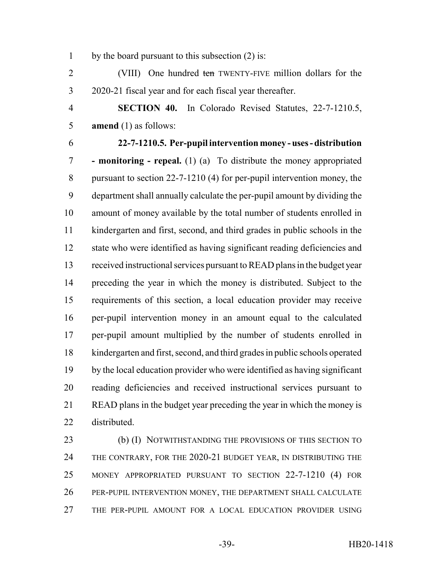by the board pursuant to this subsection (2) is:

2 (VIII) One hundred ten TWENTY-FIVE million dollars for the 2020-21 fiscal year and for each fiscal year thereafter.

 **SECTION 40.** In Colorado Revised Statutes, 22-7-1210.5, **amend** (1) as follows:

**22-7-1210.5. Per-pupil intervention money - uses - distribution**

 **- monitoring - repeal.** (1) (a) To distribute the money appropriated pursuant to section 22-7-1210 (4) for per-pupil intervention money, the department shall annually calculate the per-pupil amount by dividing the amount of money available by the total number of students enrolled in kindergarten and first, second, and third grades in public schools in the state who were identified as having significant reading deficiencies and received instructional services pursuant to READ plans in the budget year preceding the year in which the money is distributed. Subject to the requirements of this section, a local education provider may receive per-pupil intervention money in an amount equal to the calculated per-pupil amount multiplied by the number of students enrolled in kindergarten and first, second, and third grades in public schools operated by the local education provider who were identified as having significant reading deficiencies and received instructional services pursuant to READ plans in the budget year preceding the year in which the money is distributed.

23 (b) (I) NOTWITHSTANDING THE PROVISIONS OF THIS SECTION TO THE CONTRARY, FOR THE 2020-21 BUDGET YEAR, IN DISTRIBUTING THE MONEY APPROPRIATED PURSUANT TO SECTION 22-7-1210 (4) FOR PER-PUPIL INTERVENTION MONEY, THE DEPARTMENT SHALL CALCULATE THE PER-PUPIL AMOUNT FOR A LOCAL EDUCATION PROVIDER USING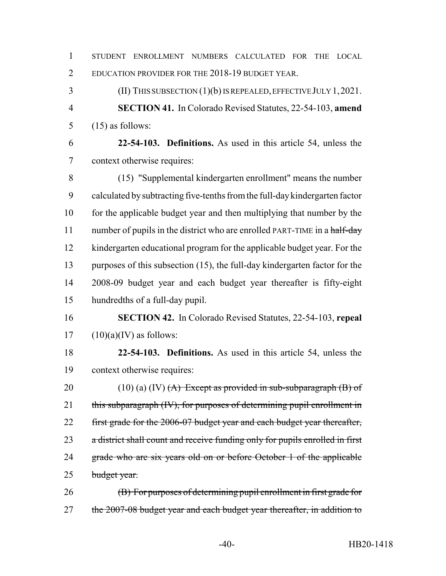| $\mathbf{1}$   | STUDENT ENROLLMENT NUMBERS<br>CALCULATED FOR<br><b>THE</b><br><b>LOCAL</b>   |
|----------------|------------------------------------------------------------------------------|
| $\overline{2}$ | EDUCATION PROVIDER FOR THE 2018-19 BUDGET YEAR.                              |
| 3              | (II) THIS SUBSECTION $(1)(b)$ IS REPEALED, EFFECTIVE JULY 1, 2021.           |
| $\overline{4}$ | <b>SECTION 41.</b> In Colorado Revised Statutes, 22-54-103, amend            |
| 5              | $(15)$ as follows:                                                           |
| 6              | 22-54-103. Definitions. As used in this article 54, unless the               |
| $\overline{7}$ | context otherwise requires:                                                  |
| 8              | (15) "Supplemental kindergarten enrollment" means the number                 |
| 9              | calculated by subtracting five-tenths from the full-day kindergarten factor  |
| 10             | for the applicable budget year and then multiplying that number by the       |
| 11             | number of pupils in the district who are enrolled PART-TIME in a half-day    |
| 12             | kindergarten educational program for the applicable budget year. For the     |
| 13             | purposes of this subsection (15), the full-day kindergarten factor for the   |
| 14             | 2008-09 budget year and each budget year thereafter is fifty-eight           |
| 15             | hundredths of a full-day pupil.                                              |
| 16             | <b>SECTION 42.</b> In Colorado Revised Statutes, 22-54-103, repeal           |
| 17             | $(10)(a)(IV)$ as follows:                                                    |
| 18             | 22-54-103. Definitions. As used in this article 54, unless the               |
| 19             | context otherwise requires:                                                  |
| 20             | $(10)$ (a) (IV) $(A)$ Except as provided in sub-subparagraph $(B)$ of        |
| 21             | this subparagraph (IV), for purposes of determining pupil enrollment in      |
| 22             | first grade for the 2006-07 budget year and each budget year thereafter,     |
| 23             | a district shall count and receive funding only for pupils enrolled in first |
| 24             | grade who are six years old on or before October 1 of the applicable         |
| 25             | budget year.                                                                 |
| 26             | (B) For purposes of determining pupil enrollment in first grade for          |
| 27             | the 2007-08 budget year and each budget year thereafter, in addition to      |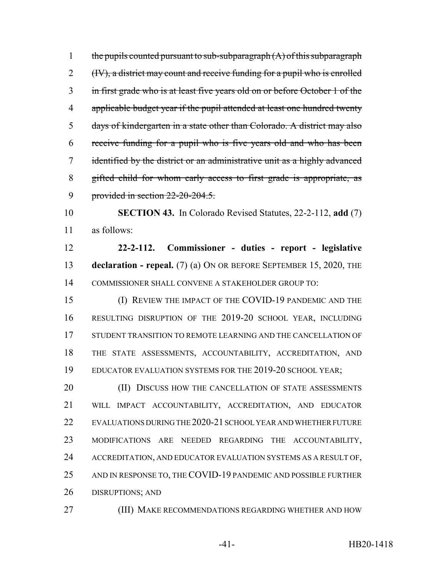1 the pupils counted pursuant to sub-subparagraph  $(A)$  of this subparagraph 2 (IV), a district may count and receive funding for a pupil who is enrolled in first grade who is at least five years old on or before October 1 of the 4 applicable budget year if the pupil attended at least one hundred twenty days of kindergarten in a state other than Colorado. A district may also receive funding for a pupil who is five years old and who has been identified by the district or an administrative unit as a highly advanced gifted child for whom early access to first grade is appropriate, as provided in section 22-20-204.5.

 **SECTION 43.** In Colorado Revised Statutes, 22-2-112, **add** (7) as follows:

 **22-2-112. Commissioner - duties - report - legislative declaration - repeal.** (7) (a) ON OR BEFORE SEPTEMBER 15, 2020, THE COMMISSIONER SHALL CONVENE A STAKEHOLDER GROUP TO:

 (I) REVIEW THE IMPACT OF THE COVID-19 PANDEMIC AND THE RESULTING DISRUPTION OF THE 2019-20 SCHOOL YEAR, INCLUDING STUDENT TRANSITION TO REMOTE LEARNING AND THE CANCELLATION OF THE STATE ASSESSMENTS, ACCOUNTABILITY, ACCREDITATION, AND EDUCATOR EVALUATION SYSTEMS FOR THE 2019-20 SCHOOL YEAR;

20 (II) DISCUSS HOW THE CANCELLATION OF STATE ASSESSMENTS WILL IMPACT ACCOUNTABILITY, ACCREDITATION, AND EDUCATOR EVALUATIONS DURING THE 2020-21 SCHOOL YEAR AND WHETHER FUTURE MODIFICATIONS ARE NEEDED REGARDING THE ACCOUNTABILITY, ACCREDITATION, AND EDUCATOR EVALUATION SYSTEMS AS A RESULT OF, AND IN RESPONSE TO, THE COVID-19 PANDEMIC AND POSSIBLE FURTHER DISRUPTIONS; AND

**(III) MAKE RECOMMENDATIONS REGARDING WHETHER AND HOW**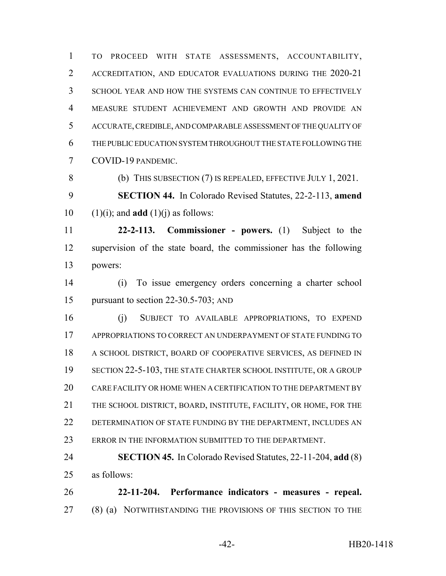TO PROCEED WITH STATE ASSESSMENTS, ACCOUNTABILITY, ACCREDITATION, AND EDUCATOR EVALUATIONS DURING THE 2020-21 SCHOOL YEAR AND HOW THE SYSTEMS CAN CONTINUE TO EFFECTIVELY MEASURE STUDENT ACHIEVEMENT AND GROWTH AND PROVIDE AN ACCURATE, CREDIBLE, AND COMPARABLE ASSESSMENT OF THE QUALITY OF THE PUBLIC EDUCATION SYSTEM THROUGHOUT THE STATE FOLLOWING THE COVID-19 PANDEMIC.

 (b) THIS SUBSECTION (7) IS REPEALED, EFFECTIVE JULY 1, 2021. **SECTION 44.** In Colorado Revised Statutes, 22-2-113, **amend**

10  $(1)(i)$ ; and **add**  $(1)(i)$  as follows:

 **22-2-113. Commissioner - powers.** (1) Subject to the supervision of the state board, the commissioner has the following powers:

 (i) To issue emergency orders concerning a charter school pursuant to section 22-30.5-703; AND

 (j) SUBJECT TO AVAILABLE APPROPRIATIONS, TO EXPEND APPROPRIATIONS TO CORRECT AN UNDERPAYMENT OF STATE FUNDING TO A SCHOOL DISTRICT, BOARD OF COOPERATIVE SERVICES, AS DEFINED IN SECTION 22-5-103, THE STATE CHARTER SCHOOL INSTITUTE, OR A GROUP CARE FACILITY OR HOME WHEN A CERTIFICATION TO THE DEPARTMENT BY THE SCHOOL DISTRICT, BOARD, INSTITUTE, FACILITY, OR HOME, FOR THE 22 DETERMINATION OF STATE FUNDING BY THE DEPARTMENT, INCLUDES AN 23 ERROR IN THE INFORMATION SUBMITTED TO THE DEPARTMENT.

 **SECTION 45.** In Colorado Revised Statutes, 22-11-204, **add** (8) as follows:

 **22-11-204. Performance indicators - measures - repeal.** (8) (a) NOTWITHSTANDING THE PROVISIONS OF THIS SECTION TO THE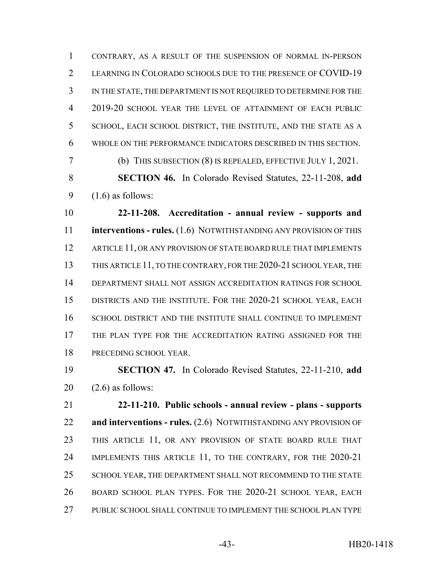CONTRARY, AS A RESULT OF THE SUSPENSION OF NORMAL IN-PERSON LEARNING IN COLORADO SCHOOLS DUE TO THE PRESENCE OF COVID-19 IN THE STATE, THE DEPARTMENT IS NOT REQUIRED TO DETERMINE FOR THE 2019-20 SCHOOL YEAR THE LEVEL OF ATTAINMENT OF EACH PUBLIC SCHOOL, EACH SCHOOL DISTRICT, THE INSTITUTE, AND THE STATE AS A WHOLE ON THE PERFORMANCE INDICATORS DESCRIBED IN THIS SECTION.

(b) THIS SUBSECTION (8) IS REPEALED, EFFECTIVE JULY 1, 2021.

 **SECTION 46.** In Colorado Revised Statutes, 22-11-208, **add** 9  $(1.6)$  as follows:

 **22-11-208. Accreditation - annual review - supports and interventions - rules.** (1.6) NOTWITHSTANDING ANY PROVISION OF THIS 12 ARTICLE 11, OR ANY PROVISION OF STATE BOARD RULE THAT IMPLEMENTS THIS ARTICLE 11, TO THE CONTRARY, FOR THE 2020-21 SCHOOL YEAR, THE DEPARTMENT SHALL NOT ASSIGN ACCREDITATION RATINGS FOR SCHOOL DISTRICTS AND THE INSTITUTE. FOR THE 2020-21 SCHOOL YEAR, EACH SCHOOL DISTRICT AND THE INSTITUTE SHALL CONTINUE TO IMPLEMENT THE PLAN TYPE FOR THE ACCREDITATION RATING ASSIGNED FOR THE PRECEDING SCHOOL YEAR.

 **SECTION 47.** In Colorado Revised Statutes, 22-11-210, **add**  $20 \quad (2.6)$  as follows:

 **22-11-210. Public schools - annual review - plans - supports and interventions - rules.** (2.6) NOTWITHSTANDING ANY PROVISION OF THIS ARTICLE 11, OR ANY PROVISION OF STATE BOARD RULE THAT IMPLEMENTS THIS ARTICLE 11, TO THE CONTRARY, FOR THE 2020-21 25 SCHOOL YEAR, THE DEPARTMENT SHALL NOT RECOMMEND TO THE STATE BOARD SCHOOL PLAN TYPES. FOR THE 2020-21 SCHOOL YEAR, EACH PUBLIC SCHOOL SHALL CONTINUE TO IMPLEMENT THE SCHOOL PLAN TYPE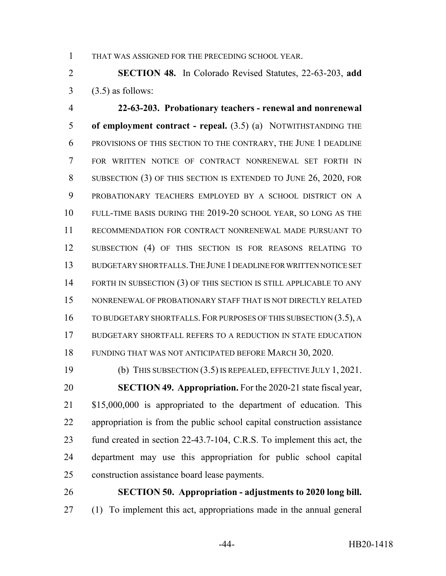THAT WAS ASSIGNED FOR THE PRECEDING SCHOOL YEAR.

 **SECTION 48.** In Colorado Revised Statutes, 22-63-203, **add**  $3 \quad (3.5)$  as follows:

 **22-63-203. Probationary teachers - renewal and nonrenewal of employment contract - repeal.** (3.5) (a) NOTWITHSTANDING THE PROVISIONS OF THIS SECTION TO THE CONTRARY, THE JUNE 1 DEADLINE FOR WRITTEN NOTICE OF CONTRACT NONRENEWAL SET FORTH IN SUBSECTION (3) OF THIS SECTION IS EXTENDED TO JUNE 26, 2020, FOR PROBATIONARY TEACHERS EMPLOYED BY A SCHOOL DISTRICT ON A FULL-TIME BASIS DURING THE 2019-20 SCHOOL YEAR, SO LONG AS THE RECOMMENDATION FOR CONTRACT NONRENEWAL MADE PURSUANT TO SUBSECTION (4) OF THIS SECTION IS FOR REASONS RELATING TO BUDGETARY SHORTFALLS.THE JUNE 1 DEADLINE FOR WRITTEN NOTICE SET 14 FORTH IN SUBSECTION (3) OF THIS SECTION IS STILL APPLICABLE TO ANY NONRENEWAL OF PROBATIONARY STAFF THAT IS NOT DIRECTLY RELATED 16 TO BUDGETARY SHORTFALLS. FOR PURPOSES OF THIS SUBSECTION (3.5), A BUDGETARY SHORTFALL REFERS TO A REDUCTION IN STATE EDUCATION FUNDING THAT WAS NOT ANTICIPATED BEFORE MARCH 30, 2020.

 (b) THIS SUBSECTION (3.5) IS REPEALED, EFFECTIVE JULY 1, 2021. **SECTION 49. Appropriation.** For the 2020-21 state fiscal year, 21 \$15,000,000 is appropriated to the department of education. This appropriation is from the public school capital construction assistance fund created in section 22-43.7-104, C.R.S. To implement this act, the department may use this appropriation for public school capital construction assistance board lease payments.

 **SECTION 50. Appropriation - adjustments to 2020 long bill.** (1) To implement this act, appropriations made in the annual general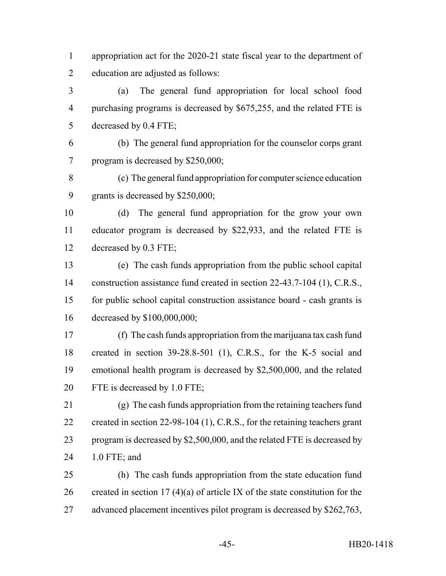appropriation act for the 2020-21 state fiscal year to the department of education are adjusted as follows:

 (a) The general fund appropriation for local school food purchasing programs is decreased by \$675,255, and the related FTE is decreased by 0.4 FTE;

 (b) The general fund appropriation for the counselor corps grant program is decreased by \$250,000;

 (c) The general fund appropriation for computer science education grants is decreased by \$250,000;

 (d) The general fund appropriation for the grow your own educator program is decreased by \$22,933, and the related FTE is decreased by 0.3 FTE;

 (e) The cash funds appropriation from the public school capital 14 construction assistance fund created in section 22-43.7-104 (1), C.R.S., for public school capital construction assistance board - cash grants is decreased by \$100,000,000;

 (f) The cash funds appropriation from the marijuana tax cash fund created in section 39-28.8-501 (1), C.R.S., for the K-5 social and emotional health program is decreased by \$2,500,000, and the related FTE is decreased by 1.0 FTE;

 (g) The cash funds appropriation from the retaining teachers fund 22 created in section 22-98-104 (1), C.R.S., for the retaining teachers grant 23 program is decreased by \$2,500,000, and the related FTE is decreased by 1.0 FTE; and

 (h) The cash funds appropriation from the state education fund 26 created in section 17 (4)(a) of article IX of the state constitution for the 27 advanced placement incentives pilot program is decreased by \$262,763,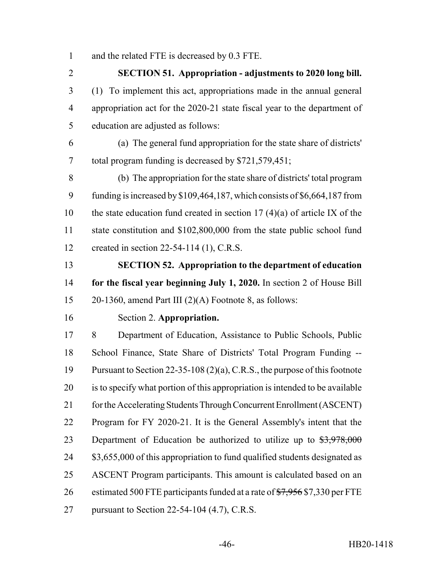and the related FTE is decreased by 0.3 FTE.

 **SECTION 51. Appropriation - adjustments to 2020 long bill.** (1) To implement this act, appropriations made in the annual general appropriation act for the 2020-21 state fiscal year to the department of education are adjusted as follows:

 (a) The general fund appropriation for the state share of districts' total program funding is decreased by \$721,579,451;

 (b) The appropriation for the state share of districts' total program funding is increased by \$109,464,187, which consists of \$6,664,187 from 10 the state education fund created in section  $17 (4)(a)$  of article IX of the state constitution and \$102,800,000 from the state public school fund created in section 22-54-114 (1), C.R.S.

 **SECTION 52. Appropriation to the department of education for the fiscal year beginning July 1, 2020.** In section 2 of House Bill 20-1360, amend Part III (2)(A) Footnote 8, as follows:

#### Section 2. **Appropriation.**

 8 Department of Education, Assistance to Public Schools, Public School Finance, State Share of Districts' Total Program Funding -- Pursuant to Section 22-35-108 (2)(a), C.R.S., the purpose of this footnote is to specify what portion of this appropriation is intended to be available 21 for the Accelerating Students Through Concurrent Enrollment (ASCENT) Program for FY 2020-21. It is the General Assembly's intent that the 23 Department of Education be authorized to utilize up to  $\frac{$3,978,000}{5,000}$ 24 \$3,655,000 of this appropriation to fund qualified students designated as ASCENT Program participants. This amount is calculated based on an 26 estimated 500 FTE participants funded at a rate of  $\frac{1}{27,956}$  \$7,330 per FTE pursuant to Section 22-54-104 (4.7), C.R.S.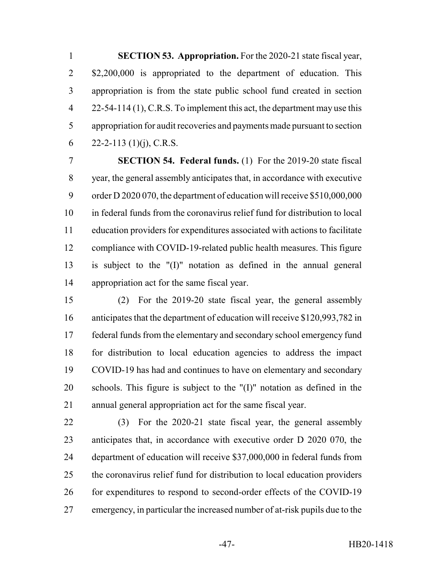**SECTION 53. Appropriation.** For the 2020-21 state fiscal year, 2 \$2,200,000 is appropriated to the department of education. This appropriation is from the state public school fund created in section 4 22-54-114 (1), C.R.S. To implement this act, the department may use this appropriation for audit recoveries and payments made pursuant to section 6 22-2-113 (1)(j), C.R.S.

 **SECTION 54. Federal funds.** (1) For the 2019-20 state fiscal year, the general assembly anticipates that, in accordance with executive order D 2020 070, the department of education will receive \$510,000,000 in federal funds from the coronavirus relief fund for distribution to local education providers for expenditures associated with actions to facilitate compliance with COVID-19-related public health measures. This figure is subject to the "(I)" notation as defined in the annual general appropriation act for the same fiscal year.

 (2) For the 2019-20 state fiscal year, the general assembly anticipates that the department of education will receive \$120,993,782 in federal funds from the elementary and secondary school emergency fund for distribution to local education agencies to address the impact COVID-19 has had and continues to have on elementary and secondary schools. This figure is subject to the "(I)" notation as defined in the annual general appropriation act for the same fiscal year.

 (3) For the 2020-21 state fiscal year, the general assembly anticipates that, in accordance with executive order D 2020 070, the department of education will receive \$37,000,000 in federal funds from the coronavirus relief fund for distribution to local education providers 26 for expenditures to respond to second-order effects of the COVID-19 emergency, in particular the increased number of at-risk pupils due to the